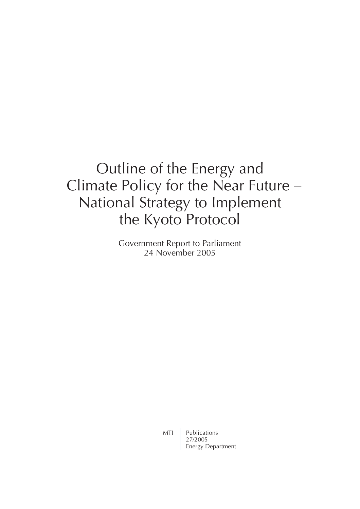# Outline of the Energy and Climate Policy for the Near Future – National Strategy to Implement the Kyoto Protocol

Government Report to Parliament 24 November 2005

MTI Publications 27/2005 Energy Department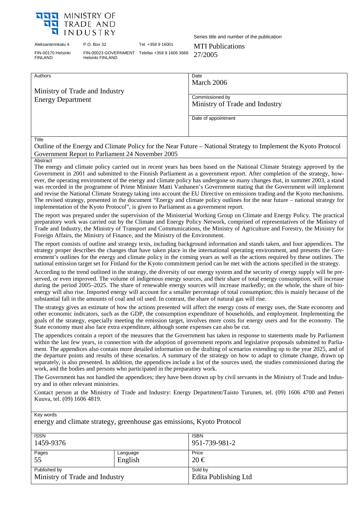

Aleksanterinkatu 4 P.O. Box 32 Tel. +358 9 16001 MTI Publications FIN-00170 Helsinki FINLAND

Helsinki FINLAND

Series title and number of the publication

## FIN-00023 GOVERNMENT Telefax +358 9 1606 3666  $27/2005$

| Authors                                                                                                                                                                                                                                                                                                                                                                                                                                                                                                                                                                                                                                                                                                                                                                                                                                                                      | Date<br>March 2006                                                                                                           |  |
|------------------------------------------------------------------------------------------------------------------------------------------------------------------------------------------------------------------------------------------------------------------------------------------------------------------------------------------------------------------------------------------------------------------------------------------------------------------------------------------------------------------------------------------------------------------------------------------------------------------------------------------------------------------------------------------------------------------------------------------------------------------------------------------------------------------------------------------------------------------------------|------------------------------------------------------------------------------------------------------------------------------|--|
| Ministry of Trade and Industry                                                                                                                                                                                                                                                                                                                                                                                                                                                                                                                                                                                                                                                                                                                                                                                                                                               |                                                                                                                              |  |
| <b>Energy Department</b>                                                                                                                                                                                                                                                                                                                                                                                                                                                                                                                                                                                                                                                                                                                                                                                                                                                     | Commissioned by                                                                                                              |  |
|                                                                                                                                                                                                                                                                                                                                                                                                                                                                                                                                                                                                                                                                                                                                                                                                                                                                              | Ministry of Trade and Industry                                                                                               |  |
|                                                                                                                                                                                                                                                                                                                                                                                                                                                                                                                                                                                                                                                                                                                                                                                                                                                                              | Date of appointment                                                                                                          |  |
|                                                                                                                                                                                                                                                                                                                                                                                                                                                                                                                                                                                                                                                                                                                                                                                                                                                                              |                                                                                                                              |  |
| Title                                                                                                                                                                                                                                                                                                                                                                                                                                                                                                                                                                                                                                                                                                                                                                                                                                                                        |                                                                                                                              |  |
|                                                                                                                                                                                                                                                                                                                                                                                                                                                                                                                                                                                                                                                                                                                                                                                                                                                                              | Outline of the Energy and Climate Policy for the Near Future – National Strategy to Implement the Kyoto Protocol             |  |
| Government Report to Parliament 24 November 2005<br>Abstract                                                                                                                                                                                                                                                                                                                                                                                                                                                                                                                                                                                                                                                                                                                                                                                                                 |                                                                                                                              |  |
| The energy and climate policy carried out in recent years has been based on the National Climate Strategy approved by the<br>Government in 2001 and submitted to the Finnish Parliament as a government report. After completion of the strategy, how-<br>ever, the operating environment of the energy and climate policy has undergone so many changes that, in summer 2003, a stand<br>was recorded in the programme of Prime Minister Matti Vanhanen's Government stating that the Government will implement<br>and revise the National Climate Strategy taking into account the EU Directive on emissions trading and the Kyoto mechanisms.<br>The revised strategy, presented in the document "Energy and climate policy outlines for the near future – national strategy for<br>implementation of the Kyoto Protocol", is given to Parliament as a government report. |                                                                                                                              |  |
| The report was prepared under the supervision of the Ministerial Working Group on Climate and Energy Policy. The practical<br>preparatory work was carried out by the Climate and Energy Policy Network, comprised of representatives of the Ministry of<br>Trade and Industry, the Ministry of Transport and Communications, the Ministry of Agriculture and Forestry, the Ministry for<br>Foreign Affairs, the Ministry of Finance, and the Ministry of the Environment.                                                                                                                                                                                                                                                                                                                                                                                                   |                                                                                                                              |  |
| The report consists of outline and strategy texts, including background information and stands taken, and four appendices. The<br>strategy proper describes the changes that have taken place in the international operating environment, and presents the Gov-<br>ernment's outlines for the energy and climate policy in the coming years as well as the actions required by these outlines. The<br>national emission target set for Finland for the Kyoto commitment period can be met with the actions specified in the strategy.                                                                                                                                                                                                                                                                                                                                        |                                                                                                                              |  |
| According to the trend outlined in the strategy, the diversity of our energy system and the security of energy supply will be pre-<br>served, or even improved. The volume of indigenous energy sources, and their share of total energy consumption, will increase<br>during the period 2005–2025. The share of renewable energy sources will increase markedly; on the whole, the share of bio-<br>energy will also rise. Imported energy will account for a smaller percentage of total consumption; this is mainly because of the<br>substantial fall in the amounts of coal and oil used. In contrast, the share of natural gas will rise.                                                                                                                                                                                                                              |                                                                                                                              |  |
| The strategy gives an estimate of how the actions presented will affect the energy costs of energy uses, the State economy and<br>other economic indicators, such as the GDP, the consumption expenditure of households, and employment. Implementing the<br>goals of the strategy, especially meeting the emission target, involves more costs for energy users and for the economy. The<br>State economy must also face extra expenditure, although some expenses can also be cut.                                                                                                                                                                                                                                                                                                                                                                                         |                                                                                                                              |  |
| The appendices contain a report of the measures that the Government has taken in response to statements made by Parliament<br>within the last few years, in connection with the adoption of government reports and legislative proposals submitted to Parlia-<br>ment. The appendices also contain more detailed information on the drafting of scenarios extending up to the year 2025, and of<br>the departure points and results of these scenarios. A summary of the strategy on how to adapt to climate change, drawn up<br>separately, is also presented. In addition, the appendices include a list of the sources used, the studies commissioned during the<br>work, and the bodies and persons who participated in the preparatory work.                                                                                                                            |                                                                                                                              |  |
| try and in other relevant ministries.                                                                                                                                                                                                                                                                                                                                                                                                                                                                                                                                                                                                                                                                                                                                                                                                                                        | The Government has not handled the appendices; they have been drawn up by civil servants in the Ministry of Trade and Indus- |  |
| Contact person at the Ministry of Trade and Industry: Energy Department/Taisto Turunen, tel. (09) 1606 4700 and Petteri<br>Kuuva, tel. (09) 1606 4819.                                                                                                                                                                                                                                                                                                                                                                                                                                                                                                                                                                                                                                                                                                                       |                                                                                                                              |  |
| Key words                                                                                                                                                                                                                                                                                                                                                                                                                                                                                                                                                                                                                                                                                                                                                                                                                                                                    |                                                                                                                              |  |

energy and climate strategy, greenhouse gas emissions, Kyoto Protocol **ISSN** 1459-9376 ISBN 951-739-981-2 Pages 55 Language English Price 20 € Published by Ministry of Trade and Industry Sold by Edita Publishing Ltd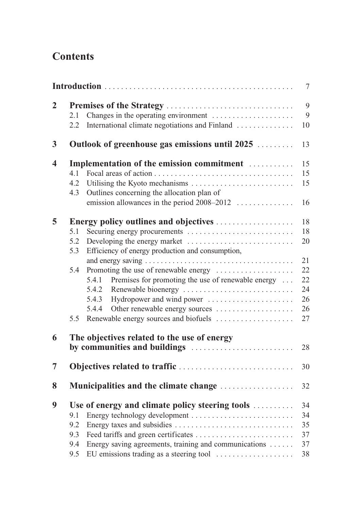### **Contents**

|                  |                                                                                                                                                                                                                                                                                                                                                                                                                                       | $\overline{7}$                                           |
|------------------|---------------------------------------------------------------------------------------------------------------------------------------------------------------------------------------------------------------------------------------------------------------------------------------------------------------------------------------------------------------------------------------------------------------------------------------|----------------------------------------------------------|
| $\overline{2}$   | Changes in the operating environment<br>2.1<br>International climate negotiations and Finland<br>2.2                                                                                                                                                                                                                                                                                                                                  | 9<br>9<br>10                                             |
| $\boldsymbol{3}$ | Outlook of greenhouse gas emissions until 2025                                                                                                                                                                                                                                                                                                                                                                                        | 13                                                       |
| 4                | Implementation of the emission commitment<br>4.1<br>4.2<br>Outlines concerning the allocation plan of<br>4.3<br>emission allowances in the period $2008-2012$                                                                                                                                                                                                                                                                         | 15<br>15<br>15<br>16                                     |
| 5                | <b>Energy policy outlines and objectives</b><br>Securing energy procurements<br>5.1<br>5.2<br>Efficiency of energy production and consumption,<br>5.3<br>Promoting the use of renewable energy<br>5.4<br>Premises for promoting the use of renewable energy<br>5.4.1<br>Renewable bioenergy<br>5.4.2<br>Hydropower and wind power<br>5.4.3<br>Other renewable energy sources<br>5.4.4<br>Renewable energy sources and biofuels<br>5.5 | 18<br>18<br>20<br>21<br>22<br>22<br>24<br>26<br>26<br>27 |
| 6                | The objectives related to the use of energy                                                                                                                                                                                                                                                                                                                                                                                           |                                                          |
| 7                |                                                                                                                                                                                                                                                                                                                                                                                                                                       | 30                                                       |
| 8                | Municipalities and the climate change                                                                                                                                                                                                                                                                                                                                                                                                 | 32                                                       |
| 9                | Use of energy and climate policy steering tools<br>9.1<br>9.2<br>9.3<br>Energy saving agreements, training and communications<br>9.4<br>EU emissions trading as a steering tool<br>9.5                                                                                                                                                                                                                                                | 34<br>34<br>35<br>37<br>37<br>38                         |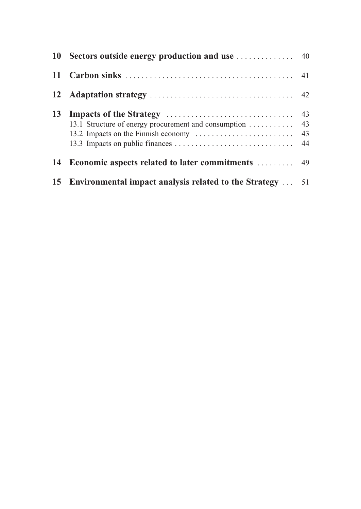| <b>12</b> |                                                              |  |
|-----------|--------------------------------------------------------------|--|
| 13        | 13.1 Structure of energy procurement and consumption 43      |  |
| 14        |                                                              |  |
|           | 15 Environmental impact analysis related to the Strategy  51 |  |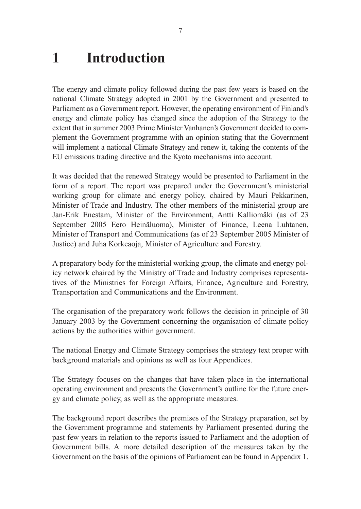### **1 Introduction**

The energy and climate policy followed during the past few years is based on the national Climate Strategy adopted in 2001 by the Government and presented to Parliament as a Government report. However, the operating environment of Finland's energy and climate policy has changed since the adoption of the Strategy to the extent that in summer 2003 Prime Minister Vanhanen's Government decided to complement the Government programme with an opinion stating that the Government will implement a national Climate Strategy and renew it, taking the contents of the EU emissions trading directive and the Kyoto mechanisms into account.

It was decided that the renewed Strategy would be presented to Parliament in the form of a report. The report was prepared under the Government's ministerial working group for climate and energy policy, chaired by Mauri Pekkarinen, Minister of Trade and Industry. The other members of the ministerial group are Jan-Erik Enestam, Minister of the Environment, Antti Kalliomäki (as of 23 September 2005 Eero Heinäluoma), Minister of Finance, Leena Luhtanen, Minister of Transport and Communications (as of 23 September 2005 Minister of Justice) and Juha Korkeaoja, Minister of Agriculture and Forestry.

A preparatory body for the ministerial working group, the climate and energy policy network chaired by the Ministry of Trade and Industry comprises representatives of the Ministries for Foreign Affairs, Finance, Agriculture and Forestry, Transportation and Communications and the Environment.

The organisation of the preparatory work follows the decision in principle of 30 January 2003 by the Government concerning the organisation of climate policy actions by the authorities within government.

The national Energy and Climate Strategy comprises the strategy text proper with background materials and opinions as well as four Appendices.

The Strategy focuses on the changes that have taken place in the international operating environment and presents the Government's outline for the future energy and climate policy, as well as the appropriate measures.

The background report describes the premises of the Strategy preparation, set by the Government programme and statements by Parliament presented during the past few years in relation to the reports issued to Parliament and the adoption of Government bills. A more detailed description of the measures taken by the Government on the basis of the opinions of Parliament can be found in Appendix 1.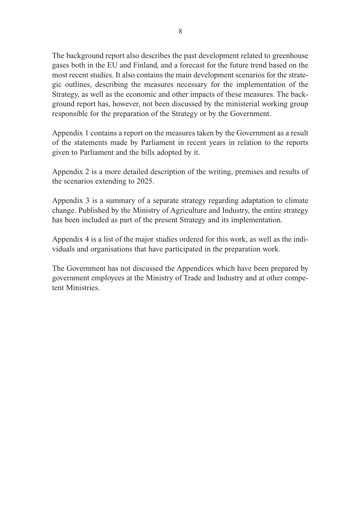The background report also describes the past development related to greenhouse gases both in the EU and Finland, and a forecast for the future trend based on the most recent studies. It also contains the main development scenarios for the strategic outlines, describing the measures necessary for the implementation of the Strategy, as well as the economic and other impacts of these measures. The background report has, however, not been discussed by the ministerial working group responsible for the preparation of the Strategy or by the Government.

Appendix 1 contains a report on the measures taken by the Government as a result of the statements made by Parliament in recent years in relation to the reports given to Parliament and the bills adopted by it.

Appendix 2 is a more detailed description of the writing, premises and results of the scenarios extending to 2025.

Appendix 3 is a summary of a separate strategy regarding adaptation to climate change. Published by the Ministry of Agriculture and Industry, the entire strategy has been included as part of the present Strategy and its implementation.

Appendix 4 is a list of the major studies ordered for this work, as well as the individuals and organisations that have participated in the preparation work.

The Government has not discussed the Appendices which have been prepared by government employees at the Ministry of Trade and Industry and at other competent Ministries.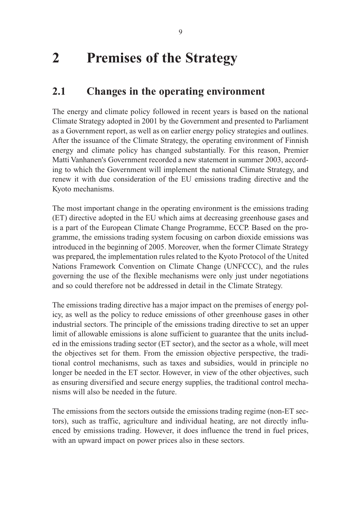## **2 Premises of the Strategy**

### **2.1 Changes in the operating environment**

The energy and climate policy followed in recent years is based on the national Climate Strategy adopted in 2001 by the Government and presented to Parliament as a Government report, as well as on earlier energy policy strategies and outlines. After the issuance of the Climate Strategy, the operating environment of Finnish energy and climate policy has changed substantially. For this reason, Premier Matti Vanhanen's Government recorded a new statement in summer 2003, according to which the Government will implement the national Climate Strategy, and renew it with due consideration of the EU emissions trading directive and the Kyoto mechanisms.

The most important change in the operating environment is the emissions trading (ET) directive adopted in the EU which aims at decreasing greenhouse gases and is a part of the European Climate Change Programme, ECCP. Based on the programme, the emissions trading system focusing on carbon dioxide emissions was introduced in the beginning of 2005. Moreover, when the former Climate Strategy was prepared, the implementation rules related to the Kyoto Protocol of the United Nations Framework Convention on Climate Change (UNFCCC), and the rules governing the use of the flexible mechanisms were only just under negotiations and so could therefore not be addressed in detail in the Climate Strategy.

The emissions trading directive has a major impact on the premises of energy policy, as well as the policy to reduce emissions of other greenhouse gases in other industrial sectors. The principle of the emissions trading directive to set an upper limit of allowable emissions is alone sufficient to guarantee that the units included in the emissions trading sector (ET sector), and the sector as a whole, will meet the objectives set for them. From the emission objective perspective, the traditional control mechanisms, such as taxes and subsidies, would in principle no longer be needed in the ET sector. However, in view of the other objectives, such as ensuring diversified and secure energy supplies, the traditional control mechanisms will also be needed in the future.

The emissions from the sectors outside the emissions trading regime (non-ET sectors), such as traffic, agriculture and individual heating, are not directly influenced by emissions trading. However, it does influence the trend in fuel prices, with an upward impact on power prices also in these sectors.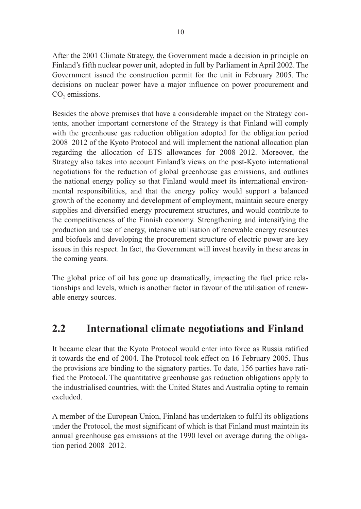After the 2001 Climate Strategy, the Government made a decision in principle on Finland's fifth nuclear power unit, adopted in full by Parliament in April 2002. The Government issued the construction permit for the unit in February 2005. The decisions on nuclear power have a major influence on power procurement and  $CO<sub>2</sub>$  emissions.

Besides the above premises that have a considerable impact on the Strategy contents, another important cornerstone of the Strategy is that Finland will comply with the greenhouse gas reduction obligation adopted for the obligation period 2008–2012 of the Kyoto Protocol and will implement the national allocation plan regarding the allocation of ETS allowances for 2008–2012. Moreover, the Strategy also takes into account Finland's views on the post-Kyoto international negotiations for the reduction of global greenhouse gas emissions, and outlines the national energy policy so that Finland would meet its international environmental responsibilities, and that the energy policy would support a balanced growth of the economy and development of employment, maintain secure energy supplies and diversified energy procurement structures, and would contribute to the competitiveness of the Finnish economy. Strengthening and intensifying the production and use of energy, intensive utilisation of renewable energy resources and biofuels and developing the procurement structure of electric power are key issues in this respect. In fact, the Government will invest heavily in these areas in the coming years.

The global price of oil has gone up dramatically, impacting the fuel price relationships and levels, which is another factor in favour of the utilisation of renewable energy sources.

### **2.2 International climate negotiations and Finland**

It became clear that the Kyoto Protocol would enter into force as Russia ratified it towards the end of 2004. The Protocol took effect on 16 February 2005. Thus the provisions are binding to the signatory parties. To date, 156 parties have ratified the Protocol. The quantitative greenhouse gas reduction obligations apply to the industrialised countries, with the United States and Australia opting to remain excluded.

A member of the European Union, Finland has undertaken to fulfil its obligations under the Protocol, the most significant of which is that Finland must maintain its annual greenhouse gas emissions at the 1990 level on average during the obligation period 2008–2012.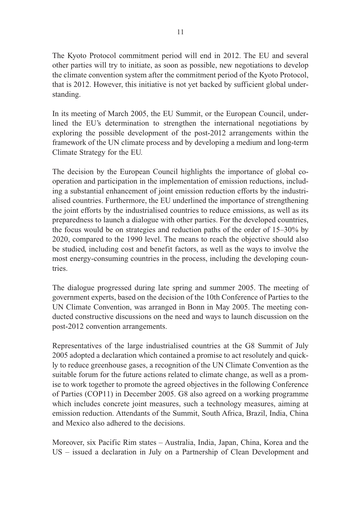The Kyoto Protocol commitment period will end in 2012. The EU and several other parties will try to initiate, as soon as possible, new negotiations to develop the climate convention system after the commitment period of the Kyoto Protocol, that is 2012. However, this initiative is not yet backed by sufficient global understanding.

In its meeting of March 2005, the EU Summit, or the European Council, underlined the EU's determination to strengthen the international negotiations by exploring the possible development of the post-2012 arrangements within the framework of the UN climate process and by developing a medium and long-term Climate Strategy for the EU.

The decision by the European Council highlights the importance of global cooperation and participation in the implementation of emission reductions, including a substantial enhancement of joint emission reduction efforts by the industrialised countries. Furthermore, the EU underlined the importance of strengthening the joint efforts by the industrialised countries to reduce emissions, as well as its preparedness to launch a dialogue with other parties. For the developed countries, the focus would be on strategies and reduction paths of the order of 15–30% by 2020, compared to the 1990 level. The means to reach the objective should also be studied, including cost and benefit factors, as well as the ways to involve the most energy-consuming countries in the process, including the developing countries.

The dialogue progressed during late spring and summer 2005. The meeting of government experts, based on the decision of the 10th Conference of Parties to the UN Climate Convention, was arranged in Bonn in May 2005. The meeting conducted constructive discussions on the need and ways to launch discussion on the post-2012 convention arrangements.

Representatives of the large industrialised countries at the G8 Summit of July 2005 adopted a declaration which contained a promise to act resolutely and quickly to reduce greenhouse gases, a recognition of the UN Climate Convention as the suitable forum for the future actions related to climate change, as well as a promise to work together to promote the agreed objectives in the following Conference of Parties (COP11) in December 2005. G8 also agreed on a working programme which includes concrete joint measures, such a technology measures, aiming at emission reduction. Attendants of the Summit, South Africa, Brazil, India, China and Mexico also adhered to the decisions.

Moreover, six Pacific Rim states – Australia, India, Japan, China, Korea and the US – issued a declaration in July on a Partnership of Clean Development and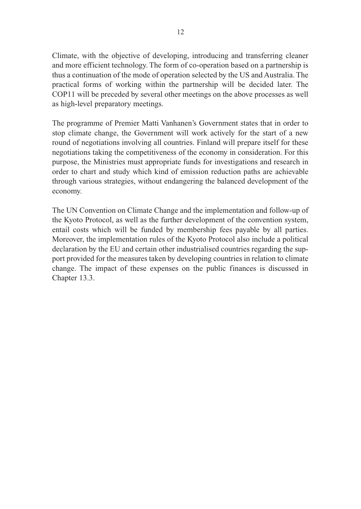Climate, with the objective of developing, introducing and transferring cleaner and more efficient technology. The form of co-operation based on a partnership is thus a continuation of the mode of operation selected by the US and Australia. The practical forms of working within the partnership will be decided later. The COP11 will be preceded by several other meetings on the above processes as well as high-level preparatory meetings.

The programme of Premier Matti Vanhanen's Government states that in order to stop climate change, the Government will work actively for the start of a new round of negotiations involving all countries. Finland will prepare itself for these negotiations taking the competitiveness of the economy in consideration. For this purpose, the Ministries must appropriate funds for investigations and research in order to chart and study which kind of emission reduction paths are achievable through various strategies, without endangering the balanced development of the economy.

The UN Convention on Climate Change and the implementation and follow-up of the Kyoto Protocol, as well as the further development of the convention system, entail costs which will be funded by membership fees payable by all parties. Moreover, the implementation rules of the Kyoto Protocol also include a political declaration by the EU and certain other industrialised countries regarding the support provided for the measures taken by developing countries in relation to climate change. The impact of these expenses on the public finances is discussed in Chapter 13.3.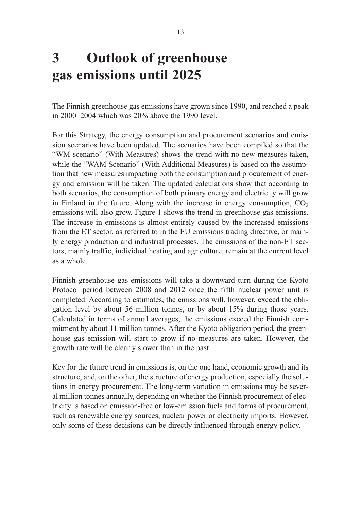# **3 Outlook of greenhouse gas emissions until 2025**

The Finnish greenhouse gas emissions have grown since 1990, and reached a peak in 2000–2004 which was 20% above the 1990 level.

For this Strategy, the energy consumption and procurement scenarios and emission scenarios have been updated. The scenarios have been compiled so that the "WM scenario" (With Measures) shows the trend with no new measures taken, while the "WAM Scenario" (With Additional Measures) is based on the assumption that new measures impacting both the consumption and procurement of energy and emission will be taken. The updated calculations show that according to both scenarios, the consumption of both primary energy and electricity will grow in Finland in the future. Along with the increase in energy consumption,  $CO<sub>2</sub>$ emissions will also grow. Figure 1 shows the trend in greenhouse gas emissions. The increase in emissions is almost entirely caused by the increased emissions from the ET sector, as referred to in the EU emissions trading directive, or mainly energy production and industrial processes. The emissions of the non-ET sectors, mainly traffic, individual heating and agriculture, remain at the current level as a whole.

Finnish greenhouse gas emissions will take a downward turn during the Kyoto Protocol period between 2008 and 2012 once the fifth nuclear power unit is completed. According to estimates, the emissions will, however, exceed the obligation level by about 56 million tonnes, or by about 15% during those years. Calculated in terms of annual averages, the emissions exceed the Finnish commitment by about 11 million tonnes. After the Kyoto obligation period, the greenhouse gas emission will start to grow if no measures are taken. However, the growth rate will be clearly slower than in the past.

Key for the future trend in emissions is, on the one hand, economic growth and its structure, and, on the other, the structure of energy production, especially the solutions in energy procurement. The long-term variation in emissions may be several million tonnes annually, depending on whether the Finnish procurement of electricity is based on emission-free or low-emission fuels and forms of procurement, such as renewable energy sources, nuclear power or electricity imports. However, only some of these decisions can be directly influenced through energy policy.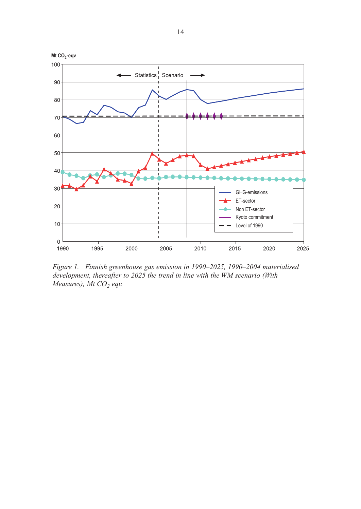

*Figure 1. Finnish greenhouse gas emission in 1990–2025, 1990–2004 materialised development, thereafter to 2025 the trend in line with the WM scenario (With Measures), Mt CO<sub>2</sub> eqv.*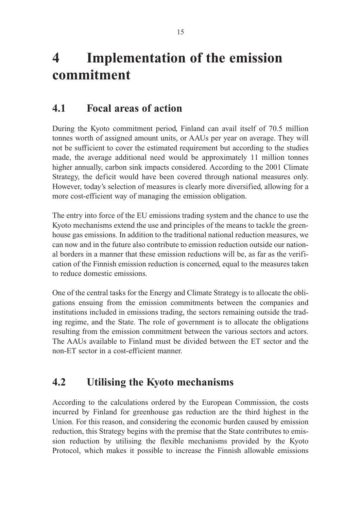# **4 Implementation of the emission commitment**

### **4.1 Focal areas of action**

During the Kyoto commitment period, Finland can avail itself of 70.5 million tonnes worth of assigned amount units, or AAUs per year on average. They will not be sufficient to cover the estimated requirement but according to the studies made, the average additional need would be approximately 11 million tonnes higher annually, carbon sink impacts considered. According to the 2001 Climate Strategy, the deficit would have been covered through national measures only. However, today's selection of measures is clearly more diversified, allowing for a more cost-efficient way of managing the emission obligation.

The entry into force of the EU emissions trading system and the chance to use the Kyoto mechanisms extend the use and principles of the means to tackle the greenhouse gas emissions. In addition to the traditional national reduction measures, we can now and in the future also contribute to emission reduction outside our national borders in a manner that these emission reductions will be, as far as the verification of the Finnish emission reduction is concerned, equal to the measures taken to reduce domestic emissions.

One of the central tasks for the Energy and Climate Strategy is to allocate the obligations ensuing from the emission commitments between the companies and institutions included in emissions trading, the sectors remaining outside the trading regime, and the State. The role of government is to allocate the obligations resulting from the emission commitment between the various sectors and actors. The AAUs available to Finland must be divided between the ET sector and the non-ET sector in a cost-efficient manner.

### **4.2 Utilising the Kyoto mechanisms**

According to the calculations ordered by the European Commission, the costs incurred by Finland for greenhouse gas reduction are the third highest in the Union. For this reason, and considering the economic burden caused by emission reduction, this Strategy begins with the premise that the State contributes to emission reduction by utilising the flexible mechanisms provided by the Kyoto Protocol, which makes it possible to increase the Finnish allowable emissions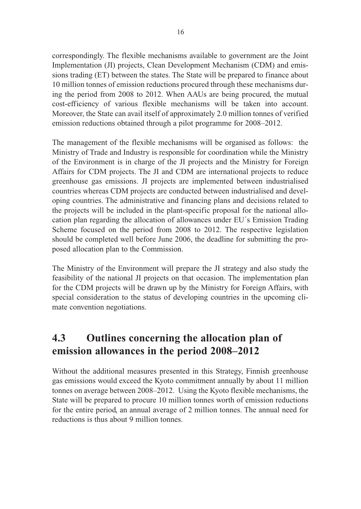correspondingly. The flexible mechanisms available to government are the Joint Implementation (JI) projects, Clean Development Mechanism (CDM) and emissions trading (ET) between the states. The State will be prepared to finance about 10 million tonnes of emission reductions procured through these mechanisms during the period from 2008 to 2012. When AAUs are being procured, the mutual cost-efficiency of various flexible mechanisms will be taken into account. Moreover, the State can avail itself of approximately 2.0 million tonnes of verified emission reductions obtained through a pilot programme for 2008–2012.

The management of the flexible mechanisms will be organised as follows: the Ministry of Trade and Industry is responsible for coordination while the Ministry of the Environment is in charge of the JI projects and the Ministry for Foreign Affairs for CDM projects. The JI and CDM are international projects to reduce greenhouse gas emissions. JI projects are implemented between industrialised countries whereas CDM projects are conducted between industrialised and developing countries. The administrative and financing plans and decisions related to the projects will be included in the plant-specific proposal for the national allocation plan regarding the allocation of allowances under EU´s Emission Trading Scheme focused on the period from 2008 to 2012. The respective legislation should be completed well before June 2006, the deadline for submitting the proposed allocation plan to the Commission.

The Ministry of the Environment will prepare the JI strategy and also study the feasibility of the national JI projects on that occasion. The implementation plan for the CDM projects will be drawn up by the Ministry for Foreign Affairs, with special consideration to the status of developing countries in the upcoming climate convention negotiations.

### **4.3 Outlines concerning the allocation plan of emission allowances in the period 2008–2012**

Without the additional measures presented in this Strategy, Finnish greenhouse gas emissions would exceed the Kyoto commitment annually by about 11 million tonnes on average between 2008–2012. Using the Kyoto flexible mechanisms, the State will be prepared to procure 10 million tonnes worth of emission reductions for the entire period, an annual average of 2 million tonnes. The annual need for reductions is thus about 9 million tonnes.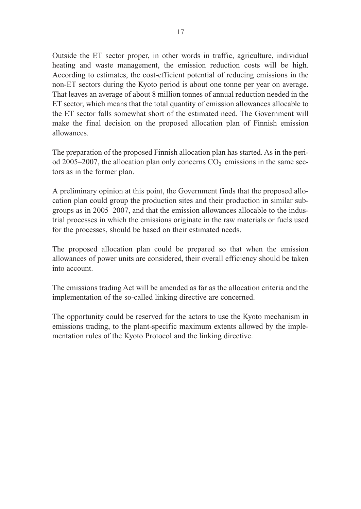Outside the ET sector proper, in other words in traffic, agriculture, individual heating and waste management, the emission reduction costs will be high. According to estimates, the cost-efficient potential of reducing emissions in the non-ET sectors during the Kyoto period is about one tonne per year on average. That leaves an average of about 8 million tonnes of annual reduction needed in the ET sector, which means that the total quantity of emission allowances allocable to the ET sector falls somewhat short of the estimated need. The Government will make the final decision on the proposed allocation plan of Finnish emission allowances.

The preparation of the proposed Finnish allocation plan has started. As in the period 2005–2007, the allocation plan only concerns  $CO<sub>2</sub>$  emissions in the same sectors as in the former plan.

A preliminary opinion at this point, the Government finds that the proposed allocation plan could group the production sites and their production in similar subgroups as in 2005–2007, and that the emission allowances allocable to the industrial processes in which the emissions originate in the raw materials or fuels used for the processes, should be based on their estimated needs.

The proposed allocation plan could be prepared so that when the emission allowances of power units are considered, their overall efficiency should be taken into account.

The emissions trading Act will be amended as far as the allocation criteria and the implementation of the so-called linking directive are concerned.

The opportunity could be reserved for the actors to use the Kyoto mechanism in emissions trading, to the plant-specific maximum extents allowed by the implementation rules of the Kyoto Protocol and the linking directive.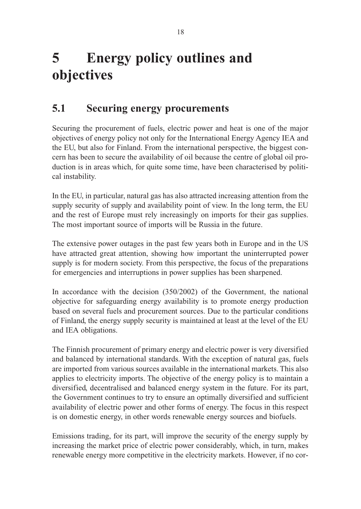# **5 Energy policy outlines and objectives**

### **5.1 Securing energy procurements**

Securing the procurement of fuels, electric power and heat is one of the major objectives of energy policy not only for the International Energy Agency IEA and the EU, but also for Finland. From the international perspective, the biggest concern has been to secure the availability of oil because the centre of global oil production is in areas which, for quite some time, have been characterised by political instability.

In the EU, in particular, natural gas has also attracted increasing attention from the supply security of supply and availability point of view. In the long term, the EU and the rest of Europe must rely increasingly on imports for their gas supplies. The most important source of imports will be Russia in the future.

The extensive power outages in the past few years both in Europe and in the US have attracted great attention, showing how important the uninterrupted power supply is for modern society. From this perspective, the focus of the preparations for emergencies and interruptions in power supplies has been sharpened.

In accordance with the decision (350/2002) of the Government, the national objective for safeguarding energy availability is to promote energy production based on several fuels and procurement sources. Due to the particular conditions of Finland, the energy supply security is maintained at least at the level of the EU and IEA obligations.

The Finnish procurement of primary energy and electric power is very diversified and balanced by international standards. With the exception of natural gas, fuels are imported from various sources available in the international markets. This also applies to electricity imports. The objective of the energy policy is to maintain a diversified, decentralised and balanced energy system in the future. For its part, the Government continues to try to ensure an optimally diversified and sufficient availability of electric power and other forms of energy. The focus in this respect is on domestic energy, in other words renewable energy sources and biofuels.

Emissions trading, for its part, will improve the security of the energy supply by increasing the market price of electric power considerably, which, in turn, makes renewable energy more competitive in the electricity markets. However, if no cor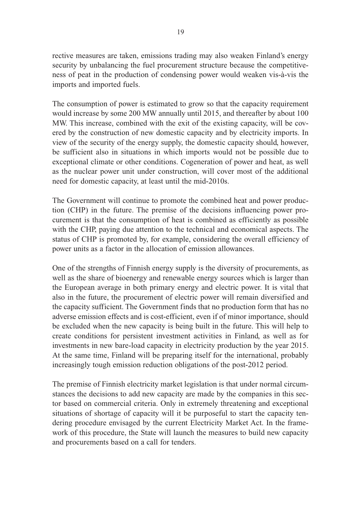rective measures are taken, emissions trading may also weaken Finland's energy security by unbalancing the fuel procurement structure because the competitiveness of peat in the production of condensing power would weaken vis-à-vis the imports and imported fuels.

The consumption of power is estimated to grow so that the capacity requirement would increase by some 200 MW annually until 2015, and thereafter by about 100 MW. This increase, combined with the exit of the existing capacity, will be covered by the construction of new domestic capacity and by electricity imports. In view of the security of the energy supply, the domestic capacity should, however, be sufficient also in situations in which imports would not be possible due to exceptional climate or other conditions. Cogeneration of power and heat, as well as the nuclear power unit under construction, will cover most of the additional need for domestic capacity, at least until the mid-2010s.

The Government will continue to promote the combined heat and power production (CHP) in the future. The premise of the decisions influencing power procurement is that the consumption of heat is combined as efficiently as possible with the CHP, paying due attention to the technical and economical aspects. The status of CHP is promoted by, for example, considering the overall efficiency of power units as a factor in the allocation of emission allowances.

One of the strengths of Finnish energy supply is the diversity of procurements, as well as the share of bioenergy and renewable energy sources which is larger than the European average in both primary energy and electric power. It is vital that also in the future, the procurement of electric power will remain diversified and the capacity sufficient. The Government finds that no production form that has no adverse emission effects and is cost-efficient, even if of minor importance, should be excluded when the new capacity is being built in the future. This will help to create conditions for persistent investment activities in Finland, as well as for investments in new bare-load capacity in electricity production by the year 2015. At the same time, Finland will be preparing itself for the international, probably increasingly tough emission reduction obligations of the post-2012 period.

The premise of Finnish electricity market legislation is that under normal circumstances the decisions to add new capacity are made by the companies in this sector based on commercial criteria. Only in extremely threatening and exceptional situations of shortage of capacity will it be purposeful to start the capacity tendering procedure envisaged by the current Electricity Market Act. In the framework of this procedure, the State will launch the measures to build new capacity and procurements based on a call for tenders.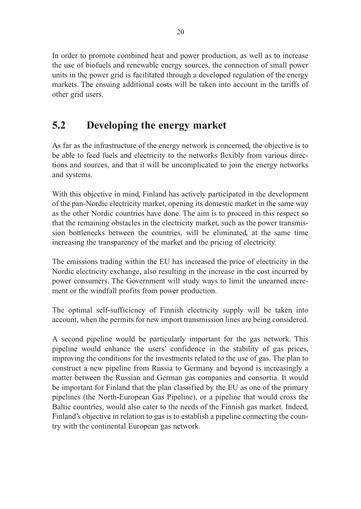In order to promote combined heat and power production, as well as to increase the use of biofuels and renewable energy sources, the connection of small power units in the power grid is facilitated through a developed regulation of the energy markets. The ensuing additional costs will be taken into account in the tariffs of other grid users.

### **5.2 Developing the energy market**

As far as the infrastructure of the energy network is concerned, the objective is to be able to feed fuels and electricity to the networks flexibly from various directions and sources, and that it will be uncomplicated to join the energy networks and systems.

With this objective in mind, Finland has actively participated in the development of the pan-Nordic electricity market, opening its domestic market in the same way as the other Nordic countries have done. The aim is to proceed in this respect so that the remaining obstacles in the electricity market, such as the power transmission bottlenecks between the countries, will be eliminated, at the same time increasing the transparency of the market and the pricing of electricity.

The emissions trading within the EU has increased the price of electricity in the Nordic electricity exchange, also resulting in the increase in the cost incurred by power consumers. The Government will study ways to limit the unearned increment or the windfall profits from power production.

The optimal self-sufficiency of Finnish electricity supply will be taken into account, when the permits for new import transmission lines are being considered.

A second pipeline would be particularly important for the gas network. This pipeline would enhance the users' confidence in the stability of gas prices, improving the conditions for the investments related to the use of gas. The plan to construct a new pipeline from Russia to Germany and beyond is increasingly a matter between the Russian and German gas companies and consortia. It would be important for Finland that the plan classified by the EU as one of the primary pipelines (the North-European Gas Pipeline), or a pipeline that would cross the Baltic countries, would also cater to the needs of the Finnish gas market. Indeed, Finland's objective in relation to gas is to establish a pipeline connecting the country with the continental European gas network.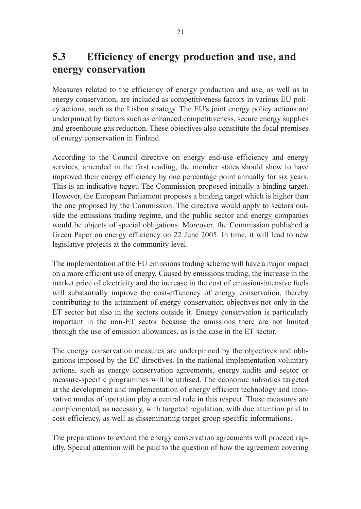### **5.3 Efficiency of energy production and use, and energy conservation**

Measures related to the efficiency of energy production and use, as well as to energy conservation, are included as competitiveness factors in various EU policy actions, such as the Lisbon strategy. The EU's joint energy policy actions are underpinned by factors such as enhanced competitiveness, secure energy supplies and greenhouse gas reduction. These objectives also constitute the focal premises of energy conservation in Finland.

According to the Council directive on energy end-use efficiency and energy services, amended in the first reading, the member states should show to have improved their energy efficiency by one percentage point annually for six years. This is an indicative target. The Commission proposed initially a binding target. However, the European Parliament proposes a binding target which is higher than the one proposed by the Commission. The directive would apply to sectors outside the emissions trading regime, and the public sector and energy companies would be objects of special obligations. Moreover, the Commission published a Green Paper on energy efficiency on 22 June 2005. In time, it will lead to new legislative projects at the community level.

The implementation of the EU emissions trading scheme will have a major impact on a more efficient use of energy. Caused by emissions trading, the increase in the market price of electricity and the increase in the cost of emission-intensive fuels will substantially improve the cost-efficiency of energy conservation, thereby contributing to the attainment of energy conservation objectives not only in the ET sector but also in the sectors outside it. Energy conservation is particularly important in the non-ET sector because the emissions there are not limited through the use of emission allowances, as is the case in the ET sector.

The energy conservation measures are underpinned by the objectives and obligations imposed by the EC directives. In the national implementation voluntary actions, such as energy conservation agreements, energy audits and sector or measure-specific programmes will be utilised. The economic subsidies targeted at the development and implementation of energy efficient technology and innovative modes of operation play a central role in this respect. These measures are complemented, as necessary, with targeted regulation, with due attention paid to cost-efficiency, as well as disseminating target group specific informations.

The preparations to extend the energy conservation agreements will proceed rapidly. Special attention will be paid to the question of how the agreement covering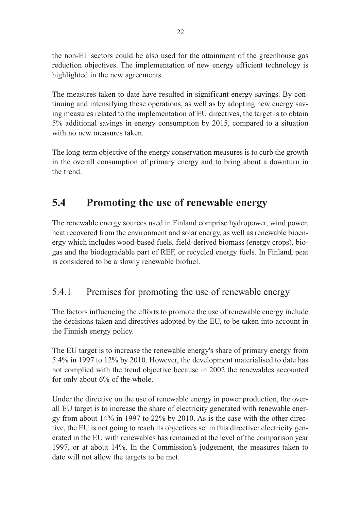the non-ET sectors could be also used for the attainment of the greenhouse gas reduction objectives. The implementation of new energy efficient technology is highlighted in the new agreements.

The measures taken to date have resulted in significant energy savings. By continuing and intensifying these operations, as well as by adopting new energy saving measures related to the implementation of EU directives, the target is to obtain 5% additional savings in energy consumption by 2015, compared to a situation with no new measures taken.

The long-term objective of the energy conservation measures is to curb the growth in the overall consumption of primary energy and to bring about a downturn in the trend.

### **5.4 Promoting the use of renewable energy**

The renewable energy sources used in Finland comprise hydropower, wind power, heat recovered from the environment and solar energy, as well as renewable bioenergy which includes wood-based fuels, field-derived biomass (energy crops), biogas and the biodegradable part of REF, or recycled energy fuels. In Finland, peat is considered to be a slowly renewable biofuel.

#### 5.4.1 Premises for promoting the use of renewable energy

The factors influencing the efforts to promote the use of renewable energy include the decisions taken and directives adopted by the EU, to be taken into account in the Finnish energy policy.

The EU target is to increase the renewable energy's share of primary energy from 5.4% in 1997 to 12% by 2010. However, the development materialised to date has not complied with the trend objective because in 2002 the renewables accounted for only about 6% of the whole.

Under the directive on the use of renewable energy in power production, the overall EU target is to increase the share of electricity generated with renewable energy from about 14% in 1997 to 22% by 2010. As is the case with the other directive, the EU is not going to reach its objectives set in this directive: electricity generated in the EU with renewables has remained at the level of the comparison year 1997, or at about 14%. In the Commission's judgement, the measures taken to date will not allow the targets to be met.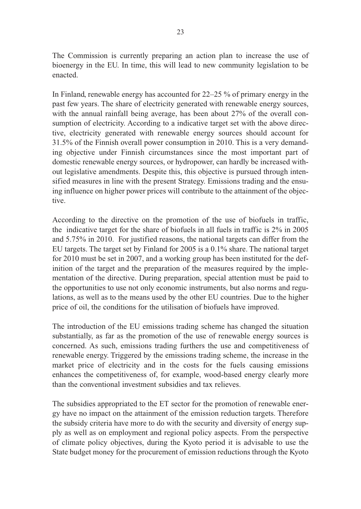The Commission is currently preparing an action plan to increase the use of bioenergy in the EU. In time, this will lead to new community legislation to be enacted.

In Finland, renewable energy has accounted for 22–25 % of primary energy in the past few years. The share of electricity generated with renewable energy sources, with the annual rainfall being average, has been about 27% of the overall consumption of electricity. According to a indicative target set with the above directive, electricity generated with renewable energy sources should account for 31.5% of the Finnish overall power consumption in 2010. This is a very demanding objective under Finnish circumstances since the most important part of domestic renewable energy sources, or hydropower, can hardly be increased without legislative amendments. Despite this, this objective is pursued through intensified measures in line with the present Strategy. Emissions trading and the ensuing influence on higher power prices will contribute to the attainment of the objective.

According to the directive on the promotion of the use of biofuels in traffic, the indicative target for the share of biofuels in all fuels in traffic is 2% in 2005 and 5.75% in 2010. For justified reasons, the national targets can differ from the EU targets. The target set by Finland for 2005 is a 0.1% share. The national target for 2010 must be set in 2007, and a working group has been instituted for the definition of the target and the preparation of the measures required by the implementation of the directive. During preparation, special attention must be paid to the opportunities to use not only economic instruments, but also norms and regulations, as well as to the means used by the other EU countries. Due to the higher price of oil, the conditions for the utilisation of biofuels have improved.

The introduction of the EU emissions trading scheme has changed the situation substantially, as far as the promotion of the use of renewable energy sources is concerned. As such, emissions trading furthers the use and competitiveness of renewable energy. Triggered by the emissions trading scheme, the increase in the market price of electricity and in the costs for the fuels causing emissions enhances the competitiveness of, for example, wood-based energy clearly more than the conventional investment subsidies and tax relieves.

The subsidies appropriated to the ET sector for the promotion of renewable energy have no impact on the attainment of the emission reduction targets. Therefore the subsidy criteria have more to do with the security and diversity of energy supply as well as on employment and regional policy aspects. From the perspective of climate policy objectives, during the Kyoto period it is advisable to use the State budget money for the procurement of emission reductions through the Kyoto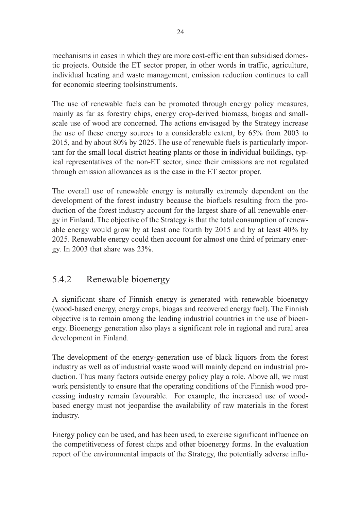mechanisms in cases in which they are more cost-efficient than subsidised domestic projects. Outside the ET sector proper, in other words in traffic, agriculture, individual heating and waste management, emission reduction continues to call for economic steering toolsinstruments.

The use of renewable fuels can be promoted through energy policy measures, mainly as far as forestry chips, energy crop-derived biomass, biogas and smallscale use of wood are concerned. The actions envisaged by the Strategy increase the use of these energy sources to a considerable extent, by 65% from 2003 to 2015, and by about 80% by 2025. The use of renewable fuels is particularly important for the small local district heating plants or those in individual buildings, typical representatives of the non-ET sector, since their emissions are not regulated through emission allowances as is the case in the ET sector proper.

The overall use of renewable energy is naturally extremely dependent on the development of the forest industry because the biofuels resulting from the production of the forest industry account for the largest share of all renewable energy in Finland. The objective of the Strategy is that the total consumption of renewable energy would grow by at least one fourth by 2015 and by at least 40% by 2025. Renewable energy could then account for almost one third of primary energy. In 2003 that share was 23%.

#### 5.4.2 Renewable bioenergy

A significant share of Finnish energy is generated with renewable bioenergy (wood-based energy, energy crops, biogas and recovered energy fuel). The Finnish objective is to remain among the leading industrial countries in the use of bioenergy. Bioenergy generation also plays a significant role in regional and rural area development in Finland.

The development of the energy-generation use of black liquors from the forest industry as well as of industrial waste wood will mainly depend on industrial production. Thus many factors outside energy policy play a role. Above all, we must work persistently to ensure that the operating conditions of the Finnish wood processing industry remain favourable. For example, the increased use of woodbased energy must not jeopardise the availability of raw materials in the forest industry.

Energy policy can be used, and has been used, to exercise significant influence on the competitiveness of forest chips and other bioenergy forms. In the evaluation report of the environmental impacts of the Strategy, the potentially adverse influ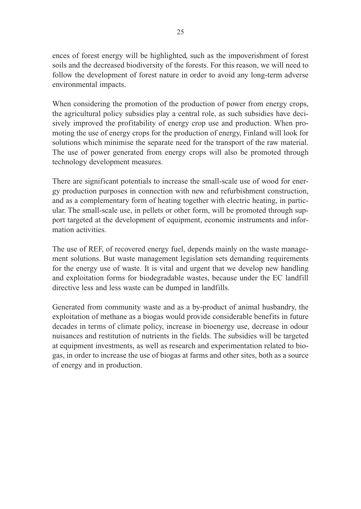ences of forest energy will be highlighted, such as the impoverishment of forest soils and the decreased biodiversity of the forests. For this reason, we will need to follow the development of forest nature in order to avoid any long-term adverse environmental impacts.

When considering the promotion of the production of power from energy crops, the agricultural policy subsidies play a central role, as such subsidies have decisively improved the profitability of energy crop use and production. When promoting the use of energy crops for the production of energy, Finland will look for solutions which minimise the separate need for the transport of the raw material. The use of power generated from energy crops will also be promoted through technology development measures.

There are significant potentials to increase the small-scale use of wood for energy production purposes in connection with new and refurbishment construction, and as a complementary form of heating together with electric heating, in particular. The small-scale use, in pellets or other form, will be promoted through support targeted at the development of equipment, economic instruments and information activities.

The use of REF, of recovered energy fuel, depends mainly on the waste management solutions. But waste management legislation sets demanding requirements for the energy use of waste. It is vital and urgent that we develop new handling and exploitation forms for biodegradable wastes, because under the EC landfill directive less and less waste can be dumped in landfills.

Generated from community waste and as a by-product of animal husbandry, the exploitation of methane as a biogas would provide considerable benefits in future decades in terms of climate policy, increase in bioenergy use, decrease in odour nuisances and restitution of nutrients in the fields. The subsidies will be targeted at equipment investments, as well as research and experimentation related to biogas, in order to increase the use of biogas at farms and other sites, both as a source of energy and in production.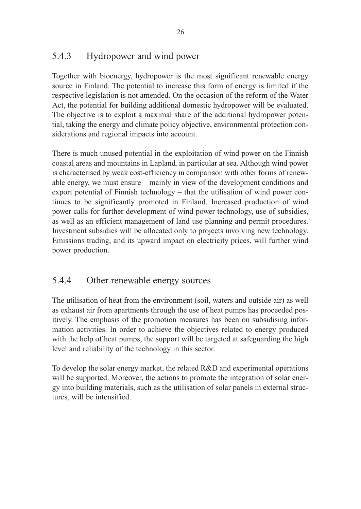### 5.4.3 Hydropower and wind power

Together with bioenergy, hydropower is the most significant renewable energy source in Finland. The potential to increase this form of energy is limited if the respective legislation is not amended. On the occasion of the reform of the Water Act, the potential for building additional domestic hydropower will be evaluated. The objective is to exploit a maximal share of the additional hydropower potential, taking the energy and climate policy objective, environmental protection considerations and regional impacts into account.

There is much unused potential in the exploitation of wind power on the Finnish coastal areas and mountains in Lapland, in particular at sea. Although wind power is characterised by weak cost-efficiency in comparison with other forms of renewable energy, we must ensure – mainly in view of the development conditions and export potential of Finnish technology – that the utilisation of wind power continues to be significantly promoted in Finland. Increased production of wind power calls for further development of wind power technology, use of subsidies, as well as an efficient management of land use planning and permit procedures. Investment subsidies will be allocated only to projects involving new technology. Emissions trading, and its upward impact on electricity prices, will further wind power production.

#### 5.4.4 Other renewable energy sources

The utilisation of heat from the environment (soil, waters and outside air) as well as exhaust air from apartments through the use of heat pumps has proceeded positively. The emphasis of the promotion measures has been on subsidising information activities. In order to achieve the objectives related to energy produced with the help of heat pumps, the support will be targeted at safeguarding the high level and reliability of the technology in this sector.

To develop the solar energy market, the related R&D and experimental operations will be supported. Moreover, the actions to promote the integration of solar energy into building materials, such as the utilisation of solar panels in external structures, will be intensified.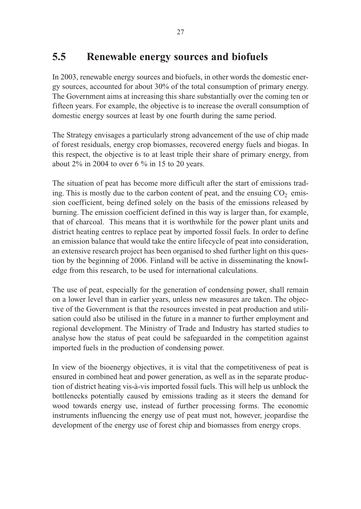### **5.5 Renewable energy sources and biofuels**

In 2003, renewable energy sources and biofuels, in other words the domestic energy sources, accounted for about 30% of the total consumption of primary energy. The Government aims at increasing this share substantially over the coming ten or fifteen years. For example, the objective is to increase the overall consumption of domestic energy sources at least by one fourth during the same period.

The Strategy envisages a particularly strong advancement of the use of chip made of forest residuals, energy crop biomasses, recovered energy fuels and biogas. In this respect, the objective is to at least triple their share of primary energy, from about 2% in 2004 to over 6 % in 15 to 20 years.

The situation of peat has become more difficult after the start of emissions trading. This is mostly due to the carbon content of peat, and the ensuing  $CO<sub>2</sub>$  emission coefficient, being defined solely on the basis of the emissions released by burning. The emission coefficient defined in this way is larger than, for example, that of charcoal. This means that it is worthwhile for the power plant units and district heating centres to replace peat by imported fossil fuels. In order to define an emission balance that would take the entire lifecycle of peat into consideration, an extensive research project has been organised to shed further light on this question by the beginning of 2006. Finland will be active in disseminating the knowledge from this research, to be used for international calculations.

The use of peat, especially for the generation of condensing power, shall remain on a lower level than in earlier years, unless new measures are taken. The objective of the Government is that the resources invested in peat production and utilisation could also be utilised in the future in a manner to further employment and regional development. The Ministry of Trade and Industry has started studies to analyse how the status of peat could be safeguarded in the competition against imported fuels in the production of condensing power.

In view of the bioenergy objectives, it is vital that the competitiveness of peat is ensured in combined heat and power generation, as well as in the separate production of district heating vis-à-vis imported fossil fuels. This will help us unblock the bottlenecks potentially caused by emissions trading as it steers the demand for wood towards energy use, instead of further processing forms. The economic instruments influencing the energy use of peat must not, however, jeopardise the development of the energy use of forest chip and biomasses from energy crops.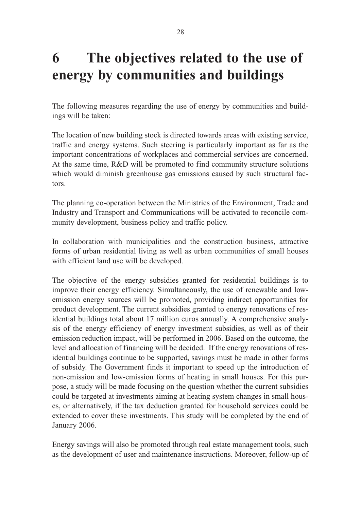# **6 The objectives related to the use of energy by communities and buildings**

The following measures regarding the use of energy by communities and buildings will be taken:

The location of new building stock is directed towards areas with existing service, traffic and energy systems. Such steering is particularly important as far as the important concentrations of workplaces and commercial services are concerned. At the same time, R&D will be promoted to find community structure solutions which would diminish greenhouse gas emissions caused by such structural factors.

The planning co-operation between the Ministries of the Environment, Trade and Industry and Transport and Communications will be activated to reconcile community development, business policy and traffic policy.

In collaboration with municipalities and the construction business, attractive forms of urban residential living as well as urban communities of small houses with efficient land use will be developed.

The objective of the energy subsidies granted for residential buildings is to improve their energy efficiency. Simultaneously, the use of renewable and lowemission energy sources will be promoted, providing indirect opportunities for product development. The current subsidies granted to energy renovations of residential buildings total about 17 million euros annually. A comprehensive analysis of the energy efficiency of energy investment subsidies, as well as of their emission reduction impact, will be performed in 2006. Based on the outcome, the level and allocation of financing will be decided. If the energy renovations of residential buildings continue to be supported, savings must be made in other forms of subsidy. The Government finds it important to speed up the introduction of non-emission and low-emission forms of heating in small houses. For this purpose, a study will be made focusing on the question whether the current subsidies could be targeted at investments aiming at heating system changes in small houses, or alternatively, if the tax deduction granted for household services could be extended to cover these investments. This study will be completed by the end of January 2006.

Energy savings will also be promoted through real estate management tools, such as the development of user and maintenance instructions. Moreover, follow-up of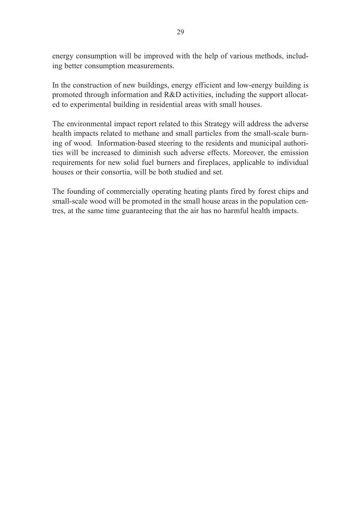energy consumption will be improved with the help of various methods, including better consumption measurements.

In the construction of new buildings, energy efficient and low-energy building is promoted through information and R&D activities, including the support allocated to experimental building in residential areas with small houses.

The environmental impact report related to this Strategy will address the adverse health impacts related to methane and small particles from the small-scale burning of wood. Information-based steering to the residents and municipal authorities will be increased to diminish such adverse effects. Moreover, the emission requirements for new solid fuel burners and fireplaces, applicable to individual houses or their consortia, will be both studied and set.

The founding of commercially operating heating plants fired by forest chips and small-scale wood will be promoted in the small house areas in the population centres, at the same time guaranteeing that the air has no harmful health impacts.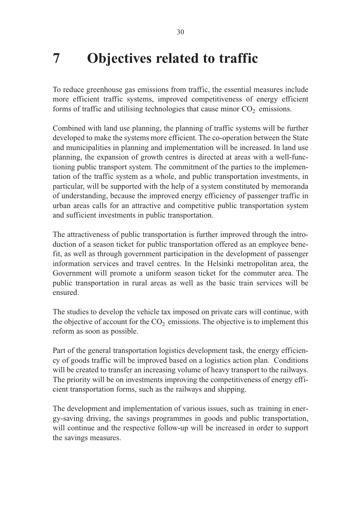## **7 Objectives related to traffic**

To reduce greenhouse gas emissions from traffic, the essential measures include more efficient traffic systems, improved competitiveness of energy efficient forms of traffic and utilising technologies that cause minor  $CO<sub>2</sub>$  emissions.

Combined with land use planning, the planning of traffic systems will be further developed to make the systems more efficient. The co-operation between the State and municipalities in planning and implementation will be increased. In land use planning, the expansion of growth centres is directed at areas with a well-functioning public transport system. The commitment of the parties to the implementation of the traffic system as a whole, and public transportation investments, in particular, will be supported with the help of a system constituted by memoranda of understanding, because the improved energy efficiency of passenger traffic in urban areas calls for an attractive and competitive public transportation system and sufficient investments in public transportation.

The attractiveness of public transportation is further improved through the introduction of a season ticket for public transportation offered as an employee benefit, as well as through government participation in the development of passenger information services and travel centres. In the Helsinki metropolitan area, the Government will promote a uniform season ticket for the commuter area. The public transportation in rural areas as well as the basic train services will be ensured.

The studies to develop the vehicle tax imposed on private cars will continue, with the objective of account for the  $CO<sub>2</sub>$  emissions. The objective is to implement this reform as soon as possible.

Part of the general transportation logistics development task, the energy efficiency of goods traffic will be improved based on a logistics action plan. Conditions will be created to transfer an increasing volume of heavy transport to the railways. The priority will be on investments improving the competitiveness of energy efficient transportation forms, such as the railways and shipping.

The development and implementation of various issues, such as training in energy-saving driving, the savings programmes in goods and public transportation, will continue and the respective follow-up will be increased in order to support the savings measures.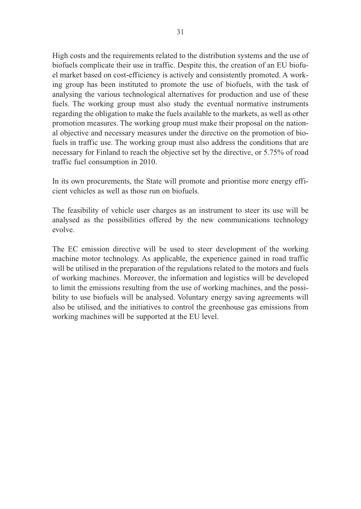High costs and the requirements related to the distribution systems and the use of biofuels complicate their use in traffic. Despite this, the creation of an EU biofuel market based on cost-efficiency is actively and consistently promoted. A working group has been instituted to promote the use of biofuels, with the task of analysing the various technological alternatives for production and use of these fuels. The working group must also study the eventual normative instruments regarding the obligation to make the fuels available to the markets, as well as other promotion measures. The working group must make their proposal on the national objective and necessary measures under the directive on the promotion of biofuels in traffic use. The working group must also address the conditions that are necessary for Finland to reach the objective set by the directive, or 5.75% of road traffic fuel consumption in 2010.

In its own procurements, the State will promote and prioritise more energy efficient vehicles as well as those run on biofuels.

The feasibility of vehicle user charges as an instrument to steer its use will be analysed as the possibilities offered by the new communications technology evolve.

The EC emission directive will be used to steer development of the working machine motor technology. As applicable, the experience gained in road traffic will be utilised in the preparation of the regulations related to the motors and fuels of working machines. Moreover, the information and logistics will be developed to limit the emissions resulting from the use of working machines, and the possibility to use biofuels will be analysed. Voluntary energy saving agreements will also be utilised, and the initiatives to control the greenhouse gas emissions from working machines will be supported at the EU level.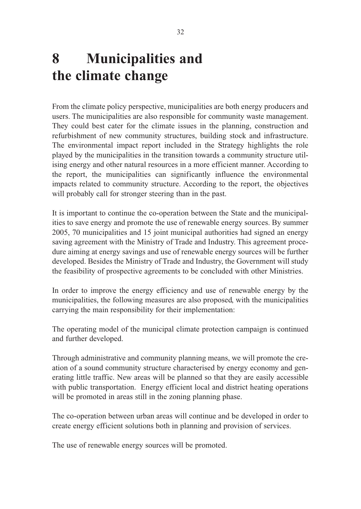# **8 Municipalities and the climate change**

From the climate policy perspective, municipalities are both energy producers and users. The municipalities are also responsible for community waste management. They could best cater for the climate issues in the planning, construction and refurbishment of new community structures, building stock and infrastructure. The environmental impact report included in the Strategy highlights the role played by the municipalities in the transition towards a community structure utilising energy and other natural resources in a more efficient manner. According to the report, the municipalities can significantly influence the environmental impacts related to community structure. According to the report, the objectives will probably call for stronger steering than in the past.

It is important to continue the co-operation between the State and the municipalities to save energy and promote the use of renewable energy sources. By summer 2005, 70 municipalities and 15 joint municipal authorities had signed an energy saving agreement with the Ministry of Trade and Industry. This agreement procedure aiming at energy savings and use of renewable energy sources will be further developed. Besides the Ministry of Trade and Industry, the Government will study the feasibility of prospective agreements to be concluded with other Ministries.

In order to improve the energy efficiency and use of renewable energy by the municipalities, the following measures are also proposed, with the municipalities carrying the main responsibility for their implementation:

The operating model of the municipal climate protection campaign is continued and further developed.

Through administrative and community planning means, we will promote the creation of a sound community structure characterised by energy economy and generating little traffic. New areas will be planned so that they are easily accessible with public transportation. Energy efficient local and district heating operations will be promoted in areas still in the zoning planning phase.

The co-operation between urban areas will continue and be developed in order to create energy efficient solutions both in planning and provision of services.

The use of renewable energy sources will be promoted.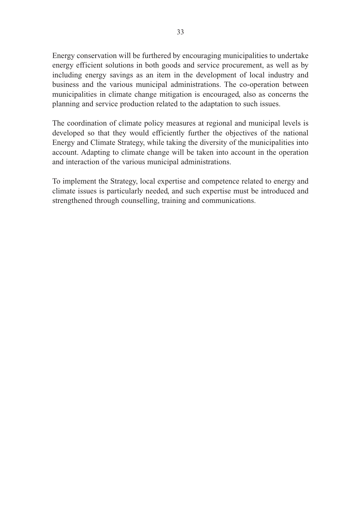Energy conservation will be furthered by encouraging municipalities to undertake energy efficient solutions in both goods and service procurement, as well as by including energy savings as an item in the development of local industry and business and the various municipal administrations. The co-operation between municipalities in climate change mitigation is encouraged, also as concerns the planning and service production related to the adaptation to such issues.

The coordination of climate policy measures at regional and municipal levels is developed so that they would efficiently further the objectives of the national Energy and Climate Strategy, while taking the diversity of the municipalities into account. Adapting to climate change will be taken into account in the operation and interaction of the various municipal administrations.

To implement the Strategy, local expertise and competence related to energy and climate issues is particularly needed, and such expertise must be introduced and strengthened through counselling, training and communications.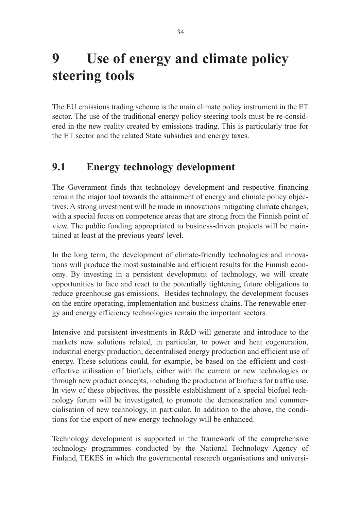# **9 Use of energy and climate policy steering tools**

The EU emissions trading scheme is the main climate policy instrument in the ET sector. The use of the traditional energy policy steering tools must be re-considered in the new reality created by emissions trading. This is particularly true for the ET sector and the related State subsidies and energy taxes.

### **9.1 Energy technology development**

The Government finds that technology development and respective financing remain the major tool towards the attainment of energy and climate policy objectives. A strong investment will be made in innovations mitigating climate changes, with a special focus on competence areas that are strong from the Finnish point of view. The public funding appropriated to business-driven projects will be maintained at least at the previous years' level.

In the long term, the development of climate-friendly technologies and innovations will produce the most sustainable and efficient results for the Finnish economy. By investing in a persistent development of technology, we will create opportunities to face and react to the potentially tightening future obligations to reduce greenhouse gas emissions. Besides technology, the development focuses on the entire operating, implementation and business chains. The renewable energy and energy efficiency technologies remain the important sectors.

Intensive and persistent investments in R&D will generate and introduce to the markets new solutions related, in particular, to power and heat cogeneration, industrial energy production, decentralised energy production and efficient use of energy. These solutions could, for example, be based on the efficient and costeffective utilisation of biofuels, either with the current or new technologies or through new product concepts, including the production of biofuels for traffic use. In view of these objectives, the possible establishment of a special biofuel technology forum will be investigated, to promote the demonstration and commercialisation of new technology, in particular. In addition to the above, the conditions for the export of new energy technology will be enhanced.

Technology development is supported in the framework of the comprehensive technology programmes conducted by the National Technology Agency of Finland, TEKES in which the governmental research organisations and universi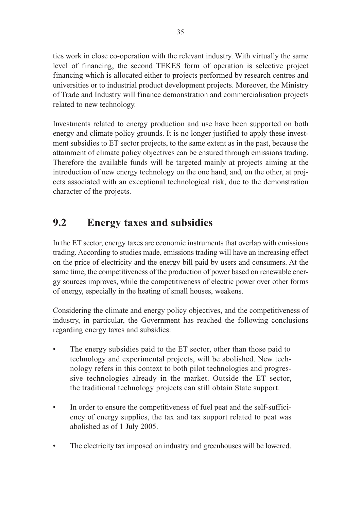ties work in close co-operation with the relevant industry. With virtually the same level of financing, the second TEKES form of operation is selective project financing which is allocated either to projects performed by research centres and universities or to industrial product development projects. Moreover, the Ministry of Trade and Industry will finance demonstration and commercialisation projects related to new technology.

Investments related to energy production and use have been supported on both energy and climate policy grounds. It is no longer justified to apply these investment subsidies to ET sector projects, to the same extent as in the past, because the attainment of climate policy objectives can be ensured through emissions trading. Therefore the available funds will be targeted mainly at projects aiming at the introduction of new energy technology on the one hand, and, on the other, at projects associated with an exceptional technological risk, due to the demonstration character of the projects.

### **9.2 Energy taxes and subsidies**

In the ET sector, energy taxes are economic instruments that overlap with emissions trading. According to studies made, emissions trading will have an increasing effect on the price of electricity and the energy bill paid by users and consumers. At the same time, the competitiveness of the production of power based on renewable energy sources improves, while the competitiveness of electric power over other forms of energy, especially in the heating of small houses, weakens.

Considering the climate and energy policy objectives, and the competitiveness of industry, in particular, the Government has reached the following conclusions regarding energy taxes and subsidies:

- The energy subsidies paid to the ET sector, other than those paid to technology and experimental projects, will be abolished. New technology refers in this context to both pilot technologies and progressive technologies already in the market. Outside the ET sector, the traditional technology projects can still obtain State support.
- In order to ensure the competitiveness of fuel peat and the self-sufficiency of energy supplies, the tax and tax support related to peat was abolished as of 1 July 2005.
- The electricity tax imposed on industry and greenhouses will be lowered.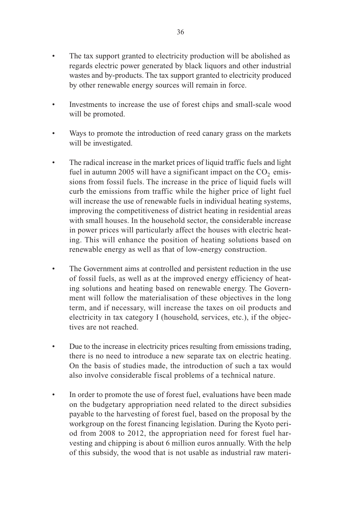- The tax support granted to electricity production will be abolished as regards electric power generated by black liquors and other industrial wastes and by-products. The tax support granted to electricity produced by other renewable energy sources will remain in force.
- Investments to increase the use of forest chips and small-scale wood will be promoted.
- Ways to promote the introduction of reed canary grass on the markets will be investigated.
- The radical increase in the market prices of liquid traffic fuels and light fuel in autumn 2005 will have a significant impact on the  $CO<sub>2</sub>$  emissions from fossil fuels. The increase in the price of liquid fuels will curb the emissions from traffic while the higher price of light fuel will increase the use of renewable fuels in individual heating systems, improving the competitiveness of district heating in residential areas with small houses. In the household sector, the considerable increase in power prices will particularly affect the houses with electric heating. This will enhance the position of heating solutions based on renewable energy as well as that of low-energy construction.
- The Government aims at controlled and persistent reduction in the use of fossil fuels, as well as at the improved energy efficiency of heating solutions and heating based on renewable energy. The Government will follow the materialisation of these objectives in the long term, and if necessary, will increase the taxes on oil products and electricity in tax category I (household, services, etc.), if the objectives are not reached.
- Due to the increase in electricity prices resulting from emissions trading, there is no need to introduce a new separate tax on electric heating. On the basis of studies made, the introduction of such a tax would also involve considerable fiscal problems of a technical nature.
- In order to promote the use of forest fuel, evaluations have been made on the budgetary appropriation need related to the direct subsidies payable to the harvesting of forest fuel, based on the proposal by the workgroup on the forest financing legislation. During the Kyoto period from 2008 to 2012, the appropriation need for forest fuel harvesting and chipping is about 6 million euros annually. With the help of this subsidy, the wood that is not usable as industrial raw materi-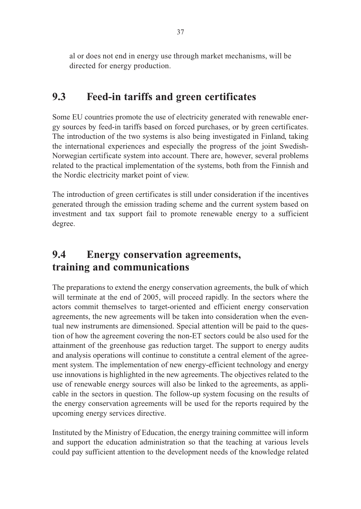al or does not end in energy use through market mechanisms, will be directed for energy production.

### **9.3 Feed-in tariffs and green certificates**

Some EU countries promote the use of electricity generated with renewable energy sources by feed-in tariffs based on forced purchases, or by green certificates. The introduction of the two systems is also being investigated in Finland, taking the international experiences and especially the progress of the joint Swedish-Norwegian certificate system into account. There are, however, several problems related to the practical implementation of the systems, both from the Finnish and the Nordic electricity market point of view.

The introduction of green certificates is still under consideration if the incentives generated through the emission trading scheme and the current system based on investment and tax support fail to promote renewable energy to a sufficient degree.

### **9.4 Energy conservation agreements, training and communications**

The preparations to extend the energy conservation agreements, the bulk of which will terminate at the end of 2005, will proceed rapidly. In the sectors where the actors commit themselves to target-oriented and efficient energy conservation agreements, the new agreements will be taken into consideration when the eventual new instruments are dimensioned. Special attention will be paid to the question of how the agreement covering the non-ET sectors could be also used for the attainment of the greenhouse gas reduction target. The support to energy audits and analysis operations will continue to constitute a central element of the agreement system. The implementation of new energy-efficient technology and energy use innovations is highlighted in the new agreements. The objectives related to the use of renewable energy sources will also be linked to the agreements, as applicable in the sectors in question. The follow-up system focusing on the results of the energy conservation agreements will be used for the reports required by the upcoming energy services directive.

Instituted by the Ministry of Education, the energy training committee will inform and support the education administration so that the teaching at various levels could pay sufficient attention to the development needs of the knowledge related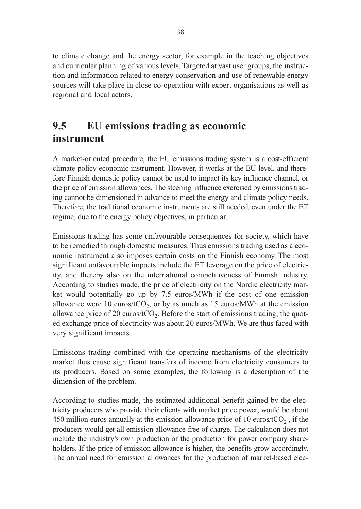to climate change and the energy sector, for example in the teaching objectives and curricular planning of various levels. Targeted at vast user groups, the instruction and information related to energy conservation and use of renewable energy sources will take place in close co-operation with expert organisations as well as regional and local actors.

### **9.5 EU emissions trading as economic instrument**

A market-oriented procedure, the EU emissions trading system is a cost-efficient climate policy economic instrument. However, it works at the EU level, and therefore Finnish domestic policy cannot be used to impact its key influence channel, or the price of emission allowances. The steering influence exercised by emissions trading cannot be dimensioned in advance to meet the energy and climate policy needs. Therefore, the traditional economic instruments are still needed, even under the ET regime, due to the energy policy objectives, in particular.

Emissions trading has some unfavourable consequences for society, which have to be remedied through domestic measures. Thus emissions trading used as a economic instrument also imposes certain costs on the Finnish economy. The most significant unfavourable impacts include the ET leverage on the price of electricity, and thereby also on the international competitiveness of Finnish industry. According to studies made, the price of electricity on the Nordic electricity market would potentially go up by 7.5 euros/MWh if the cost of one emission allowance were 10 euros/tCO<sub>2</sub>, or by as much as 15 euros/MWh at the emission allowance price of 20 euros/ $tCO<sub>2</sub>$ . Before the start of emissions trading, the quoted exchange price of electricity was about 20 euros/MWh. We are thus faced with very significant impacts.

Emissions trading combined with the operating mechanisms of the electricity market thus cause significant transfers of income from electricity consumers to its producers. Based on some examples, the following is a description of the dimension of the problem.

According to studies made, the estimated additional benefit gained by the electricity producers who provide their clients with market price power, would be about 450 million euros annually at the emission allowance price of 10 euros/tCO<sub>2</sub>, if the producers would get all emission allowance free of charge. The calculation does not include the industry's own production or the production for power company shareholders. If the price of emission allowance is higher, the benefits grow accordingly. The annual need for emission allowances for the production of market-based elec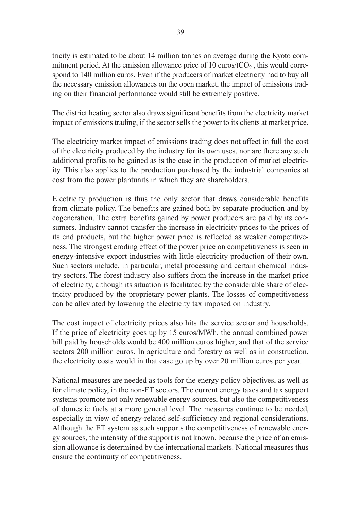tricity is estimated to be about 14 million tonnes on average during the Kyoto commitment period. At the emission allowance price of 10 euros/ $tCO<sub>2</sub>$ , this would correspond to 140 million euros. Even if the producers of market electricity had to buy all the necessary emission allowances on the open market, the impact of emissions trading on their financial performance would still be extremely positive.

The district heating sector also draws significant benefits from the electricity market impact of emissions trading, if the sector sells the power to its clients at market price.

The electricity market impact of emissions trading does not affect in full the cost of the electricity produced by the industry for its own uses, nor are there any such additional profits to be gained as is the case in the production of market electricity. This also applies to the production purchased by the industrial companies at cost from the power plantunits in which they are shareholders.

Electricity production is thus the only sector that draws considerable benefits from climate policy. The benefits are gained both by separate production and by cogeneration. The extra benefits gained by power producers are paid by its consumers. Industry cannot transfer the increase in electricity prices to the prices of its end products, but the higher power price is reflected as weaker competitiveness. The strongest eroding effect of the power price on competitiveness is seen in energy-intensive export industries with little electricity production of their own. Such sectors include, in particular, metal processing and certain chemical industry sectors. The forest industry also suffers from the increase in the market price of electricity, although its situation is facilitated by the considerable share of electricity produced by the proprietary power plants. The losses of competitiveness can be alleviated by lowering the electricity tax imposed on industry.

The cost impact of electricity prices also hits the service sector and households. If the price of electricity goes up by 15 euros/MWh, the annual combined power bill paid by households would be 400 million euros higher, and that of the service sectors 200 million euros. In agriculture and forestry as well as in construction, the electricity costs would in that case go up by over 20 million euros per year.

National measures are needed as tools for the energy policy objectives, as well as for climate policy, in the non-ET sectors. The current energy taxes and tax support systems promote not only renewable energy sources, but also the competitiveness of domestic fuels at a more general level. The measures continue to be needed, especially in view of energy-related self-sufficiency and regional considerations. Although the ET system as such supports the competitiveness of renewable energy sources, the intensity of the support is not known, because the price of an emission allowance is determined by the international markets. National measures thus ensure the continuity of competitiveness.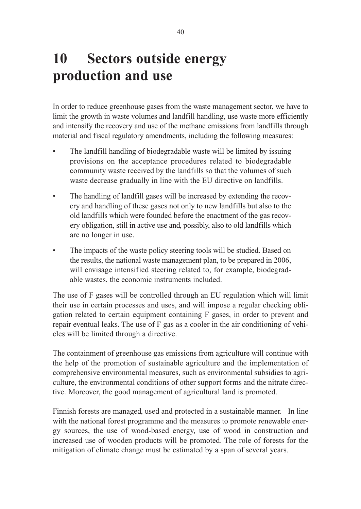# 10 Sectors outside energy **production and use**

In order to reduce greenhouse gases from the waste management sector, we have to limit the growth in waste volumes and landfill handling, use waste more efficiently and intensify the recovery and use of the methane emissions from landfills through material and fiscal regulatory amendments, including the following measures:

- The landfill handling of biodegradable waste will be limited by issuing provisions on the acceptance procedures related to biodegradable community waste received by the landfills so that the volumes of such waste decrease gradually in line with the EU directive on landfills.
- The handling of landfill gases will be increased by extending the recovery and handling of these gases not only to new landfills but also to the old landfills which were founded before the enactment of the gas recovery obligation, still in active use and, possibly, also to old landfills which are no longer in use.
- The impacts of the waste policy steering tools will be studied. Based on the results, the national waste management plan, to be prepared in 2006, will envisage intensified steering related to, for example, biodegradable wastes, the economic instruments included.

The use of F gases will be controlled through an EU regulation which will limit their use in certain processes and uses, and will impose a regular checking obligation related to certain equipment containing F gases, in order to prevent and repair eventual leaks. The use of F gas as a cooler in the air conditioning of vehicles will be limited through a directive.

The containment of greenhouse gas emissions from agriculture will continue with the help of the promotion of sustainable agriculture and the implementation of comprehensive environmental measures, such as environmental subsidies to agriculture, the environmental conditions of other support forms and the nitrate directive. Moreover, the good management of agricultural land is promoted.

Finnish forests are managed, used and protected in a sustainable manner. In line with the national forest programme and the measures to promote renewable energy sources, the use of wood-based energy, use of wood in construction and increased use of wooden products will be promoted. The role of forests for the mitigation of climate change must be estimated by a span of several years.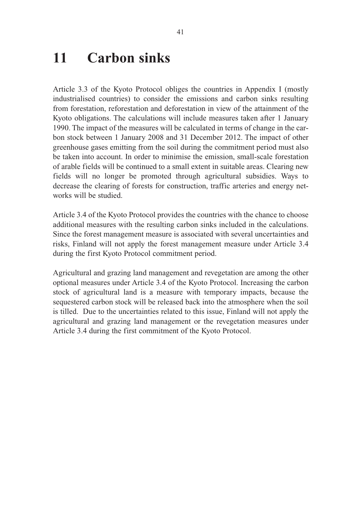### **11 Carbon sinks**

Article 3.3 of the Kyoto Protocol obliges the countries in Appendix I (mostly industrialised countries) to consider the emissions and carbon sinks resulting from forestation, reforestation and deforestation in view of the attainment of the Kyoto obligations. The calculations will include measures taken after 1 January 1990. The impact of the measures will be calculated in terms of change in the carbon stock between 1 January 2008 and 31 December 2012. The impact of other greenhouse gases emitting from the soil during the commitment period must also be taken into account. In order to minimise the emission, small-scale forestation of arable fields will be continued to a small extent in suitable areas. Clearing new fields will no longer be promoted through agricultural subsidies. Ways to decrease the clearing of forests for construction, traffic arteries and energy networks will be studied.

Article 3.4 of the Kyoto Protocol provides the countries with the chance to choose additional measures with the resulting carbon sinks included in the calculations. Since the forest management measure is associated with several uncertainties and risks, Finland will not apply the forest management measure under Article 3.4 during the first Kyoto Protocol commitment period.

Agricultural and grazing land management and revegetation are among the other optional measures under Article 3.4 of the Kyoto Protocol. Increasing the carbon stock of agricultural land is a measure with temporary impacts, because the sequestered carbon stock will be released back into the atmosphere when the soil is tilled. Due to the uncertainties related to this issue, Finland will not apply the agricultural and grazing land management or the revegetation measures under Article 3.4 during the first commitment of the Kyoto Protocol.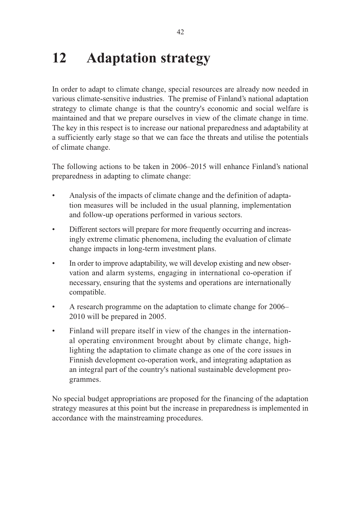## **12 Adaptation strategy**

In order to adapt to climate change, special resources are already now needed in various climate-sensitive industries. The premise of Finland's national adaptation strategy to climate change is that the country's economic and social welfare is maintained and that we prepare ourselves in view of the climate change in time. The key in this respect is to increase our national preparedness and adaptability at a sufficiently early stage so that we can face the threats and utilise the potentials of climate change.

The following actions to be taken in 2006–2015 will enhance Finland's national preparedness in adapting to climate change:

- Analysis of the impacts of climate change and the definition of adaptation measures will be included in the usual planning, implementation and follow-up operations performed in various sectors.
- Different sectors will prepare for more frequently occurring and increasingly extreme climatic phenomena, including the evaluation of climate change impacts in long-term investment plans.
- In order to improve adaptability, we will develop existing and new observation and alarm systems, engaging in international co-operation if necessary, ensuring that the systems and operations are internationally compatible.
- A research programme on the adaptation to climate change for 2006– 2010 will be prepared in 2005.
- Finland will prepare itself in view of the changes in the international operating environment brought about by climate change, highlighting the adaptation to climate change as one of the core issues in Finnish development co-operation work, and integrating adaptation as an integral part of the country's national sustainable development programmes.

No special budget appropriations are proposed for the financing of the adaptation strategy measures at this point but the increase in preparedness is implemented in accordance with the mainstreaming procedures.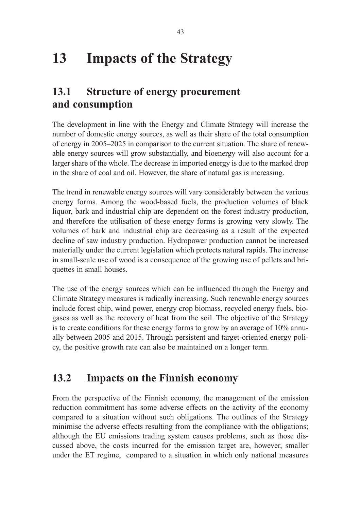# **13 Impacts of the Strategy**

### **13.1 Structure of energy procurement and consumption**

The development in line with the Energy and Climate Strategy will increase the number of domestic energy sources, as well as their share of the total consumption of energy in 2005–2025 in comparison to the current situation. The share of renewable energy sources will grow substantially, and bioenergy will also account for a larger share of the whole. The decrease in imported energy is due to the marked drop in the share of coal and oil. However, the share of natural gas is increasing.

The trend in renewable energy sources will vary considerably between the various energy forms. Among the wood-based fuels, the production volumes of black liquor, bark and industrial chip are dependent on the forest industry production, and therefore the utilisation of these energy forms is growing very slowly. The volumes of bark and industrial chip are decreasing as a result of the expected decline of saw industry production. Hydropower production cannot be increased materially under the current legislation which protects natural rapids. The increase in small-scale use of wood is a consequence of the growing use of pellets and briquettes in small houses.

The use of the energy sources which can be influenced through the Energy and Climate Strategy measures is radically increasing. Such renewable energy sources include forest chip, wind power, energy crop biomass, recycled energy fuels, biogases as well as the recovery of heat from the soil. The objective of the Strategy is to create conditions for these energy forms to grow by an average of 10% annually between 2005 and 2015. Through persistent and target-oriented energy policy, the positive growth rate can also be maintained on a longer term.

### **13.2 Impacts on the Finnish economy**

From the perspective of the Finnish economy, the management of the emission reduction commitment has some adverse effects on the activity of the economy compared to a situation without such obligations. The outlines of the Strategy minimise the adverse effects resulting from the compliance with the obligations; although the EU emissions trading system causes problems, such as those discussed above, the costs incurred for the emission target are, however, smaller under the ET regime, compared to a situation in which only national measures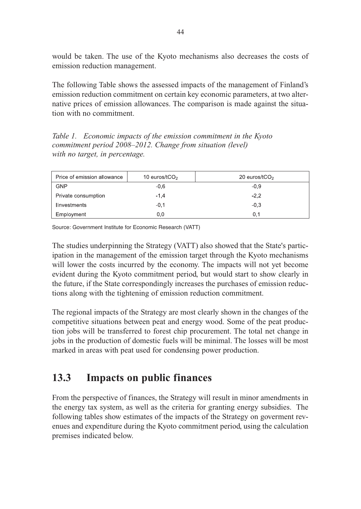would be taken. The use of the Kyoto mechanisms also decreases the costs of emission reduction management.

The following Table shows the assessed impacts of the management of Finland's emission reduction commitment on certain key economic parameters, at two alternative prices of emission allowances. The comparison is made against the situation with no commitment.

*Table 1. Economic impacts of the emission commitment in the Kyoto commitment period 2008–2012. Change from situation (level) with no target, in percentage.*

| Price of emission allowance | 10 euros/t $CO2$ | 20 euros/tCO <sub>2</sub> |
|-----------------------------|------------------|---------------------------|
| <b>GNP</b>                  | $-0.6$           | $-0.9$                    |
| Private consumption         | $-1.4$           | $-2.2$                    |
| <b>II</b> nvestments        | $-0.1$           | $-0.3$                    |
| Employment                  | 0,0              | 0.1                       |

Source: Government Institute for Economic Research (VATT)

The studies underpinning the Strategy (VATT) also showed that the State's participation in the management of the emission target through the Kyoto mechanisms will lower the costs incurred by the economy. The impacts will not yet become evident during the Kyoto commitment period, but would start to show clearly in the future, if the State correspondingly increases the purchases of emission reductions along with the tightening of emission reduction commitment.

The regional impacts of the Strategy are most clearly shown in the changes of the competitive situations between peat and energy wood. Some of the peat production jobs will be transferred to forest chip procurement. The total net change in jobs in the production of domestic fuels will be minimal. The losses will be most marked in areas with peat used for condensing power production.

### **13.3 Impacts on public finances**

From the perspective of finances, the Strategy will result in minor amendments in the energy tax system, as well as the criteria for granting energy subsidies. The following tables show estimates of the impacts of the Strategy on goverment revenues and expenditure during the Kyoto commitment period, using the calculation premises indicated below.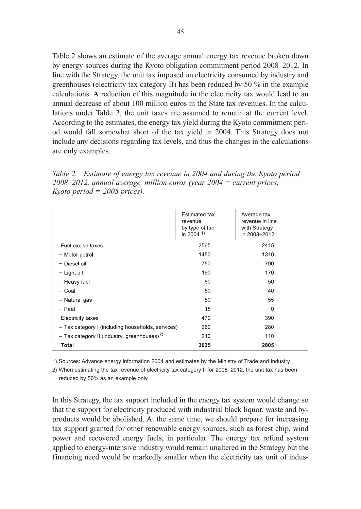Table 2 shows an estimate of the average annual energy tax revenue broken down by energy sources during the Kyoto obligation commitment period 2008–2012. In line with the Strategy, the unit tax imposed on electricity consumed by industry and greenhouses (electricity tax category II) has been reduced by 50 % in the example calculations. A reduction of this magnitude in the electricity tax would lead to an annual decrease of about 100 million euros in the State tax revenues. In the calculations under Table 2, the unit taxes are assumed to remain at the current level. According to the estimates, the energy tax yield during the Kyoto commitment period would fall somewhat short of the tax yield in 2004. This Strategy does not include any decisions regarding tax levels, and thus the changes in the calculations are only examples.

| Table 2. Estimate of energy tax revenue in 2004 and during the Kyoto period  |  |  |
|------------------------------------------------------------------------------|--|--|
| $2008 - 2012$ , annual average, million euros (year $2004 =$ current prices, |  |  |
| Kyoto period = $2005$ prices).                                               |  |  |

|                                                         | Estimated tax<br>revenue<br>by type of fuel<br>in 2004 <sup>1)</sup> | Average tax<br>revenue in line<br>with Strategy<br>in 2008-2012 |
|---------------------------------------------------------|----------------------------------------------------------------------|-----------------------------------------------------------------|
| Fuel excise taxes                                       | 2565                                                                 | 2415                                                            |
| - Motor petrol                                          | 1450                                                                 | 1310                                                            |
| - Diesel oil                                            | 750                                                                  | 790                                                             |
| - Light oil                                             | 190                                                                  | 170                                                             |
| - Heavy fuel                                            | 60                                                                   | 50                                                              |
| - Coal                                                  | 50                                                                   | 40                                                              |
| - Natural gas                                           | 50                                                                   | 55                                                              |
| - Peat                                                  | 15                                                                   | $\Omega$                                                        |
| <b>Electricity taxes</b>                                | 470                                                                  | 390                                                             |
| - Tax category I (including households, services)       | 260                                                                  | 280                                                             |
| - Tax category II (industry, greenhouses) <sup>2)</sup> | 210                                                                  | 110                                                             |
| Total                                                   | 3035                                                                 | 2805                                                            |

1) Sources: Advance energy information 2004 and estimates by the Ministry of Trade and Industry

2) When estimating the tax revenue of electricity tax category II for 2008–2012, the unit tax has been reduced by 50% as an example only.

In this Strategy, the tax support included in the energy tax system would change so that the support for electricity produced with industrial black liquor, waste and byproducts would be abolished. At the same time, we should prepare for increasing tax support granted for other renewable energy sources, such as forest chip, wind power and recovered energy fuels, in particular. The energy tax refund system applied to energy-intensive industry would remain unaltered in the Strategy but the financing need would be markedly smaller when the electricity tax unit of indus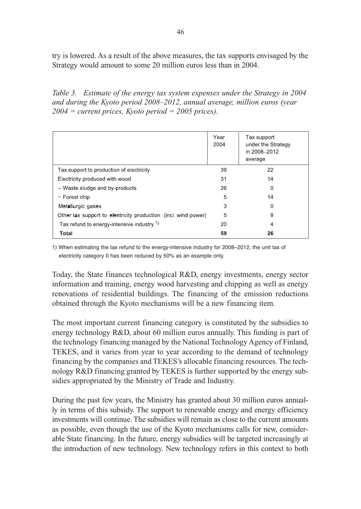try is lowered. As a result of the above measures, the tax supports envisaged by the Strategy would amount to some 20 million euros less than in 2004.

*Table 3. Estimate of the energy tax system expenses under the Strategy in 2004 and during the Kyoto period 2008–2012, annual average, million euros (year 2004 = current prices, Kyoto period = 2005 prices).*

|                                                                | Year<br>2004 | Tax support<br>under the Strategy<br>in 2008-2012<br>average |
|----------------------------------------------------------------|--------------|--------------------------------------------------------------|
| Tax support to production of electricity                       | 39           | 22                                                           |
| Electricity produced with wood                                 | 31           | 14                                                           |
| - Waste sludge and by-products                                 | 26           | 0                                                            |
| - Forest chip                                                  | 5            | 14                                                           |
| Metallurgic gases                                              | 3            | 0                                                            |
| Other tax support to electricity production (incl. wind power) | 5            | 8                                                            |
| Tax refund to energy-intensive industry 1)                     | 20           | 4                                                            |
| <b>Total</b>                                                   | 59           | 26                                                           |

1) When estimating the tax refund to the energy-intensive industry for 2008–2012, the unit tax of electricity category II has been reduced by 50% as an example only.

Today, the State finances technological R&D, energy investments, energy sector information and training, energy wood harvesting and chipping as well as energy renovations of residential buildings. The financing of the emission reductions obtained through the Kyoto mechanisms will be a new financing item.

The most important current financing category is constituted by the subsidies to energy technology R&D, about 60 million euros annually. This funding is part of the technology financing managed by the National Technology Agency of Finland, TEKES, and it varies from year to year according to the demand of technology financing by the companies and TEKES's allocable financing resources. The technology R&D financing granted by TEKES is further supported by the energy subsidies appropriated by the Ministry of Trade and Industry.

During the past few years, the Ministry has granted about 30 million euros annually in terms of this subsidy. The support to renewable energy and energy efficiency investments will continue. The subsidies will remain as close to the current amounts as possible, even though the use of the Kyoto mechanisms calls for new, considerable State financing. In the future, energy subsidies will be targeted increasingly at the introduction of new technology. New technology refers in this context to both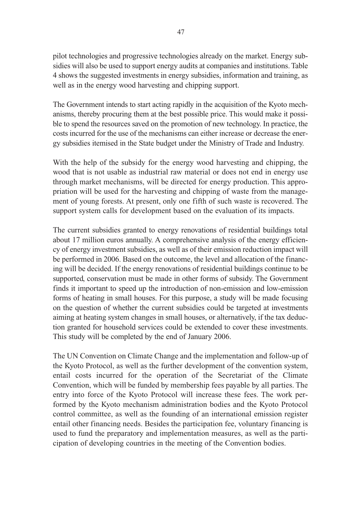pilot technologies and progressive technologies already on the market. Energy subsidies will also be used to support energy audits at companies and institutions. Table 4 shows the suggested investments in energy subsidies, information and training, as well as in the energy wood harvesting and chipping support.

The Government intends to start acting rapidly in the acquisition of the Kyoto mechanisms, thereby procuring them at the best possible price. This would make it possible to spend the resources saved on the promotion of new technology. In practice, the costs incurred for the use of the mechanisms can either increase or decrease the energy subsidies itemised in the State budget under the Ministry of Trade and Industry.

With the help of the subsidy for the energy wood harvesting and chipping, the wood that is not usable as industrial raw material or does not end in energy use through market mechanisms, will be directed for energy production. This appropriation will be used for the harvesting and chipping of waste from the management of young forests. At present, only one fifth of such waste is recovered. The support system calls for development based on the evaluation of its impacts.

The current subsidies granted to energy renovations of residential buildings total about 17 million euros annually. A comprehensive analysis of the energy efficiency of energy investment subsidies, as well as of their emission reduction impact will be performed in 2006. Based on the outcome, the level and allocation of the financing will be decided. If the energy renovations of residential buildings continue to be supported, conservation must be made in other forms of subsidy. The Government finds it important to speed up the introduction of non-emission and low-emission forms of heating in small houses. For this purpose, a study will be made focusing on the question of whether the current subsidies could be targeted at investments aiming at heating system changes in small houses, or alternatively, if the tax deduction granted for household services could be extended to cover these investments. This study will be completed by the end of January 2006.

The UN Convention on Climate Change and the implementation and follow-up of the Kyoto Protocol, as well as the further development of the convention system, entail costs incurred for the operation of the Secretariat of the Climate Convention, which will be funded by membership fees payable by all parties. The entry into force of the Kyoto Protocol will increase these fees. The work performed by the Kyoto mechanism administration bodies and the Kyoto Protocol control committee, as well as the founding of an international emission register entail other financing needs. Besides the participation fee, voluntary financing is used to fund the preparatory and implementation measures, as well as the participation of developing countries in the meeting of the Convention bodies.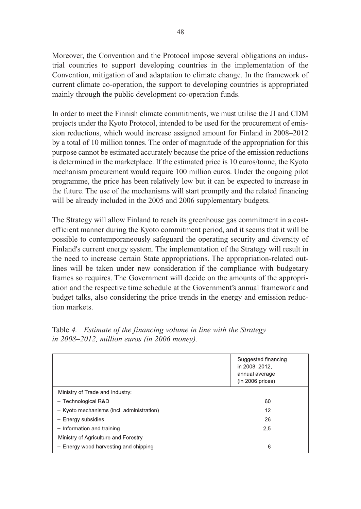Moreover, the Convention and the Protocol impose several obligations on industrial countries to support developing countries in the implementation of the Convention, mitigation of and adaptation to climate change. In the framework of current climate co-operation, the support to developing countries is appropriated mainly through the public development co-operation funds.

In order to meet the Finnish climate commitments, we must utilise the JI and CDM projects under the Kyoto Protocol, intended to be used for the procurement of emission reductions, which would increase assigned amount for Finland in 2008–2012 by a total of 10 million tonnes. The order of magnitude of the appropriation for this purpose cannot be estimated accurately because the price of the emission reductions is determined in the marketplace. If the estimated price is 10 euros/tonne, the Kyoto mechanism procurement would require 100 million euros. Under the ongoing pilot programme, the price has been relatively low but it can be expected to increase in the future. The use of the mechanisms will start promptly and the related financing will be already included in the 2005 and 2006 supplementary budgets.

The Strategy will allow Finland to reach its greenhouse gas commitment in a costefficient manner during the Kyoto commitment period, and it seems that it will be possible to contemporaneously safeguard the operating security and diversity of Finland's current energy system. The implementation of the Strategy will result in the need to increase certain State appropriations. The appropriation-related outlines will be taken under new consideration if the compliance with budgetary frames so requires. The Government will decide on the amounts of the appropriation and the respective time schedule at the Government's annual framework and budget talks, also considering the price trends in the energy and emission reduction markets.

|                                           | Suggested financing<br>in 2008-2012.<br>annual average<br>(in 2006 prices) |
|-------------------------------------------|----------------------------------------------------------------------------|
| Ministry of Trade and Industry:           |                                                                            |
| - Technological R&D                       | 60                                                                         |
| - Kyoto mechanisms (incl. administration) | 12                                                                         |
| - Energy subsidies                        | 26                                                                         |
| - Information and training                | 2,5                                                                        |
| Ministry of Agriculture and Forestry      |                                                                            |
| - Energy wood harvesting and chipping     | 6                                                                          |

| Table 4. Estimate of the financing volume in line with the Strategy |  |
|---------------------------------------------------------------------|--|
| in 2008–2012, million euros (in 2006 money).                        |  |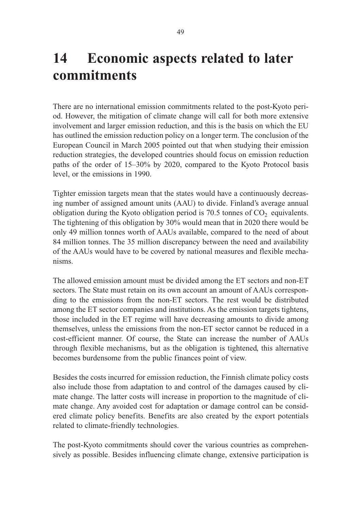# **14 Economic aspects related to later commitments**

There are no international emission commitments related to the post-Kyoto period. However, the mitigation of climate change will call for both more extensive involvement and larger emission reduction, and this is the basis on which the EU has outlined the emission reduction policy on a longer term. The conclusion of the European Council in March 2005 pointed out that when studying their emission reduction strategies, the developed countries should focus on emission reduction paths of the order of 15–30% by 2020, compared to the Kyoto Protocol basis level, or the emissions in 1990.

Tighter emission targets mean that the states would have a continuously decreasing number of assigned amount units (AAU) to divide. Finland's average annual obligation during the Kyoto obligation period is  $70.5$  tonnes of  $CO<sub>2</sub>$  equivalents. The tightening of this obligation by 30% would mean that in 2020 there would be only 49 million tonnes worth of AAUs available, compared to the need of about 84 million tonnes. The 35 million discrepancy between the need and availability of the AAUs would have to be covered by national measures and flexible mechanisms.

The allowed emission amount must be divided among the ET sectors and non-ET sectors. The State must retain on its own account an amount of AAUs corresponding to the emissions from the non-ET sectors. The rest would be distributed among the ET sector companies and institutions. As the emission targets tightens, those included in the ET regime will have decreasing amounts to divide among themselves, unless the emissions from the non-ET sector cannot be reduced in a cost-efficient manner. Of course, the State can increase the number of AAUs through flexible mechanisms, but as the obligation is tightened, this alternative becomes burdensome from the public finances point of view.

Besides the costs incurred for emission reduction, the Finnish climate policy costs also include those from adaptation to and control of the damages caused by climate change. The latter costs will increase in proportion to the magnitude of climate change. Any avoided cost for adaptation or damage control can be considered climate policy benefits. Benefits are also created by the export potentials related to climate-friendly technologies.

The post-Kyoto commitments should cover the various countries as comprehensively as possible. Besides influencing climate change, extensive participation is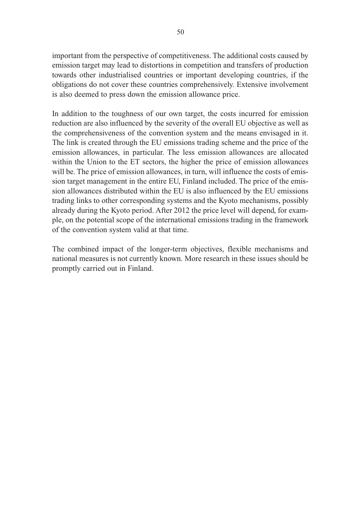important from the perspective of competitiveness. The additional costs caused by emission target may lead to distortions in competition and transfers of production towards other industrialised countries or important developing countries, if the obligations do not cover these countries comprehensively. Extensive involvement is also deemed to press down the emission allowance price.

In addition to the toughness of our own target, the costs incurred for emission reduction are also influenced by the severity of the overall EU objective as well as the comprehensiveness of the convention system and the means envisaged in it. The link is created through the EU emissions trading scheme and the price of the emission allowances, in particular. The less emission allowances are allocated within the Union to the ET sectors, the higher the price of emission allowances will be. The price of emission allowances, in turn, will influence the costs of emission target management in the entire EU, Finland included. The price of the emission allowances distributed within the EU is also influenced by the EU emissions trading links to other corresponding systems and the Kyoto mechanisms, possibly already during the Kyoto period. After 2012 the price level will depend, for example, on the potential scope of the international emissions trading in the framework of the convention system valid at that time.

The combined impact of the longer-term objectives, flexible mechanisms and national measures is not currently known. More research in these issues should be promptly carried out in Finland.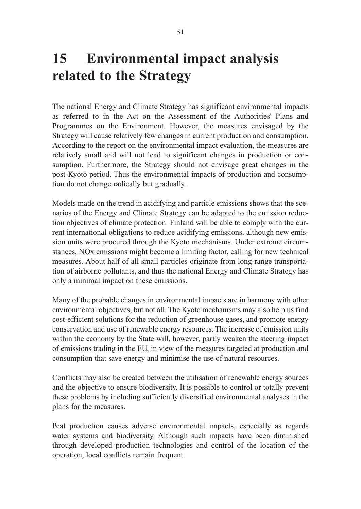# **15 Environmental impact analysis related to the Strategy**

The national Energy and Climate Strategy has significant environmental impacts as referred to in the Act on the Assessment of the Authorities' Plans and Programmes on the Environment. However, the measures envisaged by the Strategy will cause relatively few changes in current production and consumption. According to the report on the environmental impact evaluation, the measures are relatively small and will not lead to significant changes in production or consumption. Furthermore, the Strategy should not envisage great changes in the post-Kyoto period. Thus the environmental impacts of production and consumption do not change radically but gradually.

Models made on the trend in acidifying and particle emissions shows that the scenarios of the Energy and Climate Strategy can be adapted to the emission reduction objectives of climate protection. Finland will be able to comply with the current international obligations to reduce acidifying emissions, although new emission units were procured through the Kyoto mechanisms. Under extreme circumstances, NOx emissions might become a limiting factor, calling for new technical measures. About half of all small particles originate from long-range transportation of airborne pollutants, and thus the national Energy and Climate Strategy has only a minimal impact on these emissions.

Many of the probable changes in environmental impacts are in harmony with other environmental objectives, but not all. The Kyoto mechanisms may also help us find cost-efficient solutions for the reduction of greenhouse gases, and promote energy conservation and use of renewable energy resources. The increase of emission units within the economy by the State will, however, partly weaken the steering impact of emissions trading in the EU, in view of the measures targeted at production and consumption that save energy and minimise the use of natural resources.

Conflicts may also be created between the utilisation of renewable energy sources and the objective to ensure biodiversity. It is possible to control or totally prevent these problems by including sufficiently diversified environmental analyses in the plans for the measures.

Peat production causes adverse environmental impacts, especially as regards water systems and biodiversity. Although such impacts have been diminished through developed production technologies and control of the location of the operation, local conflicts remain frequent.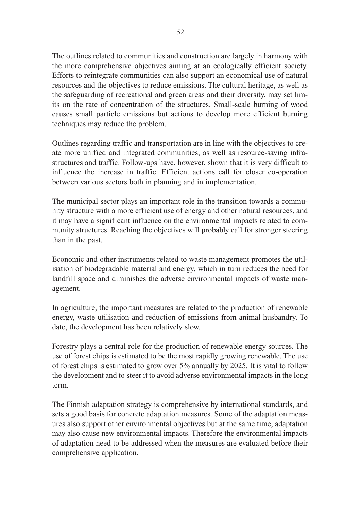The outlines related to communities and construction are largely in harmony with the more comprehensive objectives aiming at an ecologically efficient society. Efforts to reintegrate communities can also support an economical use of natural resources and the objectives to reduce emissions. The cultural heritage, as well as the safeguarding of recreational and green areas and their diversity, may set limits on the rate of concentration of the structures. Small-scale burning of wood causes small particle emissions but actions to develop more efficient burning techniques may reduce the problem.

Outlines regarding traffic and transportation are in line with the objectives to create more unified and integrated communities, as well as resource-saving infrastructures and traffic. Follow-ups have, however, shown that it is very difficult to influence the increase in traffic. Efficient actions call for closer co-operation between various sectors both in planning and in implementation.

The municipal sector plays an important role in the transition towards a community structure with a more efficient use of energy and other natural resources, and it may have a significant influence on the environmental impacts related to community structures. Reaching the objectives will probably call for stronger steering than in the past.

Economic and other instruments related to waste management promotes the utilisation of biodegradable material and energy, which in turn reduces the need for landfill space and diminishes the adverse environmental impacts of waste management.

In agriculture, the important measures are related to the production of renewable energy, waste utilisation and reduction of emissions from animal husbandry. To date, the development has been relatively slow.

Forestry plays a central role for the production of renewable energy sources. The use of forest chips is estimated to be the most rapidly growing renewable. The use of forest chips is estimated to grow over 5% annually by 2025. It is vital to follow the development and to steer it to avoid adverse environmental impacts in the long term.

The Finnish adaptation strategy is comprehensive by international standards, and sets a good basis for concrete adaptation measures. Some of the adaptation measures also support other environmental objectives but at the same time, adaptation may also cause new environmental impacts. Therefore the environmental impacts of adaptation need to be addressed when the measures are evaluated before their comprehensive application.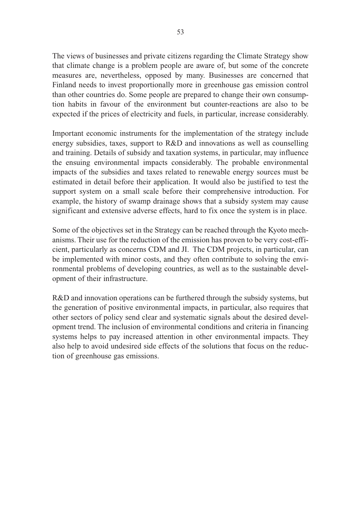The views of businesses and private citizens regarding the Climate Strategy show that climate change is a problem people are aware of, but some of the concrete measures are, nevertheless, opposed by many. Businesses are concerned that Finland needs to invest proportionally more in greenhouse gas emission control than other countries do. Some people are prepared to change their own consumption habits in favour of the environment but counter-reactions are also to be expected if the prices of electricity and fuels, in particular, increase considerably.

Important economic instruments for the implementation of the strategy include energy subsidies, taxes, support to R&D and innovations as well as counselling and training. Details of subsidy and taxation systems, in particular, may influence the ensuing environmental impacts considerably. The probable environmental impacts of the subsidies and taxes related to renewable energy sources must be estimated in detail before their application. It would also be justified to test the support system on a small scale before their comprehensive introduction. For example, the history of swamp drainage shows that a subsidy system may cause significant and extensive adverse effects, hard to fix once the system is in place.

Some of the objectives set in the Strategy can be reached through the Kyoto mechanisms. Their use for the reduction of the emission has proven to be very cost-efficient, particularly as concerns CDM and JI. The CDM projects, in particular, can be implemented with minor costs, and they often contribute to solving the environmental problems of developing countries, as well as to the sustainable development of their infrastructure.

R&D and innovation operations can be furthered through the subsidy systems, but the generation of positive environmental impacts, in particular, also requires that other sectors of policy send clear and systematic signals about the desired development trend. The inclusion of environmental conditions and criteria in financing systems helps to pay increased attention in other environmental impacts. They also help to avoid undesired side effects of the solutions that focus on the reduction of greenhouse gas emissions.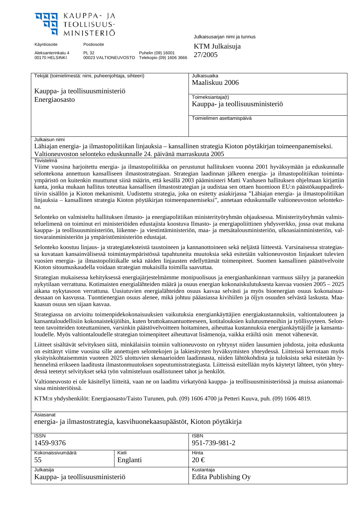

Aleksanterinkatu 4 00170 HELSINKI

PL 32 00023 VALTIONEUVOSTO Telekopio (09) 1606 3666 27/2005 Puhelin (09) 16001

Julkaisusarjan nimi ja tunnus

Käyntiosoite Postiosoite Postiosoite KTM Julkaisuja

| Tekijät (toimielimestä: nimi, puheenjohtaja, sihteeri)                                                           | Julkaisuaika                    |  |  |
|------------------------------------------------------------------------------------------------------------------|---------------------------------|--|--|
|                                                                                                                  | Maaliskuu 2006                  |  |  |
| Kauppa- ja teollisuusministeriö                                                                                  |                                 |  |  |
| Energiaosasto                                                                                                    | Toimeksiantaja(t)               |  |  |
|                                                                                                                  | Kauppa- ja teollisuusministeriö |  |  |
|                                                                                                                  |                                 |  |  |
|                                                                                                                  | Toimielimen asettamispäivä      |  |  |
|                                                                                                                  |                                 |  |  |
|                                                                                                                  |                                 |  |  |
| Julkaisun nimi                                                                                                   |                                 |  |  |
| Lähiajan energia- ja ilmastopolitiikan linjauksia – kansallinen strategia Kioton pöytäkirjan toimeenpanemiseksi. |                                 |  |  |

Valtioneuvoston selonteko eduskunnalle 24. päivänä marraskuuta 2005

#### **Tiivistelmä**

Viime vuosina harjoitettu energia- ja ilmastopolitiikka on perustunut hallituksen vuonna 2001 hyväksymään ja eduskunnalle selontekona annettuun kansalliseen ilmastostrategiaan. Strategian laadinnan jälkeen energia- ja ilmastopolitiikan toimintaympäristö on kuitenkin muuttunut siinä määrin, että kesällä 2003 pääministeri Matti Vanhasen hallituksen ohjelmaan kirjattiin kanta, jonka mukaan hallitus toteuttaa kansallisen ilmastostrategian ja uudistaa sen ottaen huomioon EU:n päästökauppadirektiivin sisällön ja Kioton mekanismit. Uudistettu strategia, joka on esitetty asiakirjassa "Lähiajan energia- ja ilmastopolitiikan linjauksia – kansallinen strategia Kioton pöytäkirjan toimeenpanemiseksi", annetaan eduskunnalle valtioneuvoston selontekona.

Selonteko on valmisteltu hallituksen ilmasto- ja energiapolitiikan ministerityöryhmän ohjauksessa. Ministerityöryhmän valmisteluelimenä on toiminut eri ministeriöiden edustajista koostuva Ilmasto- ja energiapoliittinen yhdysverkko, jossa ovat mukana kauppa- ja teollisuusministeriön, liikenne- ja viestintäministeriön, maa- ja metsätalousministeriön, ulkoasiainministeriön, valtiovarainministeriön ja ympäristöministeriön edustajat.

Selonteko koostuu linjaus- ja strategiateksteistä taustoineen ja kannanottoineen sekä neljästä liitteestä. Varsinaisessa strategiassa kuvataan kansainvälisessä toimintaympäristössä tapahtuneita muutoksia sekä esitetään valtioneuvoston linjaukset tulevien vuosien energia- ja ilmastopolitiikalle sekä näiden linjausten edellyttämät toimenpiteet. Suomen kansallinen päästövelvoite Kioton sitoumuskaudella voidaan strategian mukaisilla toimilla saavuttaa.

Strategian mukaisessa kehityksessä energiajärjestelmämme monipuolisuus ja energianhankinnan varmuus säilyy ja paraneekin nykytilaan verrattuna. Kotimaisten energialähteiden määrä ja osuus energian kokonaiskulutuksesta kasvaa vuosien 2005 – 2025 aikana nykytasoon verrattuna. Uusiutuvien energialähteiden osuus kasvaa selvästi ja myös bioenergian osuus kokonaisuudessaan on kasvussa. Tuontienergian osuus alenee, mikä johtuu pääasiassa kivihiilen ja öljyn osuuden selvästä laskusta. Maakaasun osuus sen sijaan kasvaa.

Strategiassa on arvioitu toimenpidekokonaisuuksien vaikutuksia energiankäyttäjien energiakustannuksiin, valtiontalouteen ja kansantaloudellisiin kokonaistekijöihin, kuten bruttokansantuotteeseen, kotitalouksien kulutusmenoihin ja työllisyyteen. Selonteon tavoitteiden toteuttaminen, varsinkin päästövelvoitteen hoitaminen, aiheuttaa kustannuksia energiankäyttäjille ja kansantaloudelle. Myös valtiontaloudelle strategian toimenpiteet aiheuttavat lisämenoja, vaikka eräiltä osin menot vähenevät.

Liitteet sisältävät selvityksen siitä, minkälaisiin toimiin valtioneuvosto on ryhtynyt niiden lausumien johdosta, joita eduskunta on esittänyt viime vuosina sille annettujen selontekojen ja lakiesitysten hyväksymisten yhteydessä. Liitteissä kerrotaan myös yksityiskohtaisemmin vuoteen 2025 ulottuvien skenaarioiden laadinnasta, niiden lähtökohdista ja tuloksista sekä esitetään lyhennelmä erikseen laaditusta ilmastonmuutoksen sopeutumisstrategiasta. Liitteissä esitellään myös käytetyt lähteet, työn yhteydessä teetetyt selvitykset sekä työn valmisteluun osallistuneet tahot ja henkilöt.

Valtioneuvosto ei ole käsitellyt liitteitä, vaan ne on laadittu virkatyönä kauppa- ja teollisuusministeriössä ja muissa asianomaisissa ministeriöissä.

KTM:n yhdyshenkilöt: Energiaosasto/Taisto Turunen, puh. (09) 1606 4700 ja Petteri Kuuva, puh. (09) 1606 4819.

Asiasanat

energia- ja ilmastostrategia, kasvihuonekaasupäästöt, Kioton pöytäkirja

| <b>ISSN</b><br>1459-9376        |          | <b>ISBN</b><br>951-739-981-2 |
|---------------------------------|----------|------------------------------|
| Kokonaissivumäärä               | Kieli    | Hinta                        |
| 55                              | Englanti | $20 \in$                     |
| Julkaisija                      |          | Kustantaja                   |
| Kauppa- ja teollisuusministeriö |          | Edita Publishing Oy          |